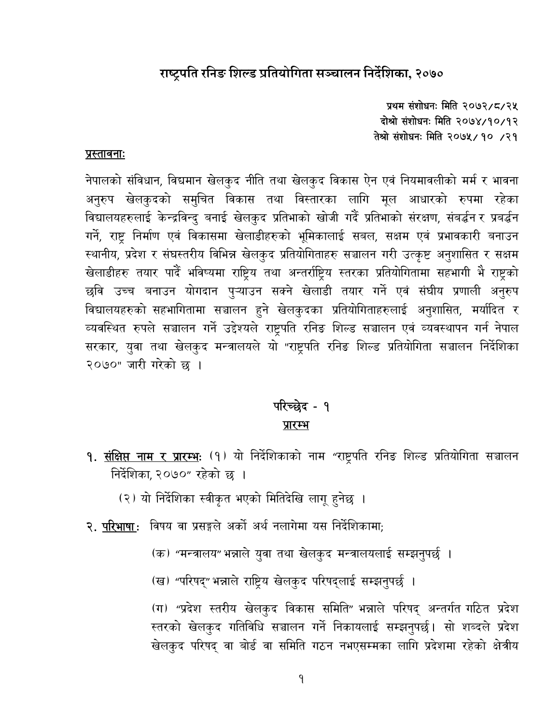## राष्ट्रपति रनिङ शिल्ड प्रतियोगिता सञ्चालन निर्देशिका, २०७०

प्रथम संशोधनः मिति २०७२/८/२५ दोश्रो संशोधनः मिति २०७४/१०/१२ तेश्रो संशोधनः मिति २०७५/१० /२१

#### <u>प्रस्तावनाः</u>

नेपालको संविधान, विद्यमान खेलकुद नीति तथा खेलकुद विकास ऐन एवं नियमावलीको मर्म र भावना अनुरुप खेलकुदको समुचित विकास तथा विस्तारका लागि मूल आधारको रुपमा रहेका विद्यालयहरुलाई केन्द्रविन्दु बनाई खेलकुद प्रतिभाको खोजी गर्दै प्रतिभाको संरक्षण, संबर्द्धन र प्रबर्द्धन गर्ने, राष्ट्र निर्माण एवं विकासमा खेलाडीहरुको भूमिकालाई सबल, सक्षम एवं प्रभावकारी बनाउन स्थानीय, प्रदेश र संघस्तरीय विभिन्न खेलकुद प्रतियोगिताहरु सञ्चालन गरी उत्कृष्ट अनुशासित र सक्षम खेलाडीहरु तयार पार्दै भविष्यमा राष्ट्रिय तथा अन्तर्राष्ट्रिय स्तरका प्रतियोगितामा सहभागी भेे राष्ट्रको छवि उच्च बनाउन योगदान पुऱ्याउन सक्ने खेलाडी तयार गर्ने एवं संघीय प्रणाली अनुरुप विद्यालयहरुको सहभागितामा सञ्चालन हुने खेलकुदका प्रतियोगिताहरुलाई अनुशासित, मर्यादित र व्यवस्थित रुपले सञ्चालन गर्ने उद्देश्यले राष्ट्रपति रनिङ शिल्ड सञ्चालन एवं व्यवस्थापन गर्न नेपाल सरकार, युवा तथा खेलकुद मन्त्रालयले यो "राष्ट्रपति रनिङ शिल्ड प्रतियोगिता सञ्चालन निर्देशिका २०७०" जारी गरेको छ ।

## परिच्छेद - १ प्रारम्भ

- <mark>१. <u>संक्षिप्त नाम र प्रारम्भ</u>ः (१) यो निर्दे</mark>शिकाको नाम "राष्ट्रपति रनिङ शिल्ड प्रतियोगिता सञ्चालन निर्देशिका २०७०" रहेको छ ।
	- (२) यो निर्देशिका स्वीकृत भएको मितिदेखि लागू हुनेछ ।
- २. परिभाषा: विषय वा प्रसङ्गले अर्को अर्थ नलागेमा यस निर्देशिकामा;
	- (क) "मन्त्रालय" भन्नाले युवा तथा खेलकुद मन्त्रालयलाई सम्झनुपर्छ ।
	- (ख) "परिषद्" भन्नाले राष्ट्रिय खेलकुद परिषद्लाई सम्झनुपर्छ ।

(ग) "प्रदेश स्तरीय खेलकुद विकास समिति" भन्नाले परिषद् अन्तर्गत गठित प्रदेश स्तरको खेलकुद गतिविधि सञ्चालन गर्ने निकायलाई सम्झनुपर्छ। सो शब्दले प्रदेश खेलकुद परिषद् वा बोर्ड वा समिति गठन नभएसम्मका लागि प्रदेशमा रहेको क्षेत्रीय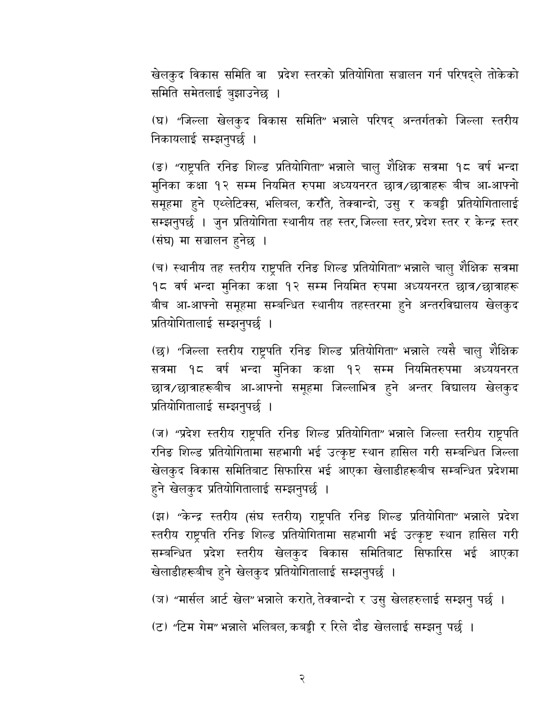खेलकूद विकास समिति वा प्रदेश स्तरको प्रतियोगिता सञ्चालन गर्न परिषद्ले तोकेको समिति समेतलाई बुझाउनेछ ।

(घ) "जिल्ला खेलकुद विकास समिति" भन्नाले परिषद् अन्तर्गतको जिल्ला स्तरीय निकायलाई सम्झनुपर्छ ।

(ङ) "राष्ट्रपति रनिङ शिल्ड प्रतियोगिता" भन्नाले चालु शैक्षिक सत्रमा १८ वर्ष भन्दा मुनिका कक्षा १२ सम्म नियमित रुपमा अध्ययनरत छात्र/छात्राहरू बीच आ-आफ्नो समूहमा हुने एथ्लेटिक्स, भलिबल, कराँते, तेक्वान्दो, उसु र कबड्डी प्रतियोगितालाई सम्झनुपर्छ । जुन प्रतियोगिता स्थानीय तह स्तर, जिल्ला स्तर, प्रदेश स्तर र केन्द्र स्तर (संघ) मा सञ्चालन हनेछ ।

(च) स्थानीय तह स्तरीय राष्ट्रपति रनिङ शिल्ड प्रतियोगिता"भन्नाले चालु शैक्षिक सत्रमा १८ वर्ष भन्दा मुनिका कक्षा १२ सम्म नियमित रुपमा अध्ययनरत छात्र/छात्राहरू बीच आ-आफ्नो समूहमा सम्बन्धित स्थानीय तहस्तरमा हुने अन्तरविद्यालय खेलकुद प्रतियोगितालाई सम्झनुपर्छ ।

(छ) "जिल्ला स्तरीय राष्ट्रपति रनिङ शिल्ड प्रतियोगिता" भन्नाले त्यसै चालु शैक्षिक सत्रमा १८ वर्ष भन्दा मुनिका कक्षा १२ सम्म नियमितरुपमा अध्ययनरत छात्र/छात्राहरूबीच आ-आफ्नो समूहमा जिल्लाभित्र हुने अन्तर विद्यालय खेलकुद प्रतियोगितालाई सम्झनुपर्छ ।

(ज) "प्रदेश स्तरीय राष्ट्रपति रनिङ शिल्ड प्रतियोगिता" भन्नाले जिल्ला स्तरीय राष्ट्रपति रनिङ शिल्ड प्रतियोगितामा सहभागी भई उत्कृष्ट स्थान हासिल गरी सम्बन्धित जिल्ला खेलकुद विकास समितिबाट सिफारिस भई आएका खेलाडीहरूबीच सम्बन्धित प्रदेशमा हुने खेलकुद प्रतियोगितालाई सम्झनुपर्छ ।

(झ) "केन्द्र स्तरीय (संघ स्तरीय) राष्ट्रपति रनिङ शिल्ड प्रतियोगिता" भन्नाले प्रदेश स्तरीय राष्ट्रपति रनिङ शिल्ड प्रतियोगितामा सहभागी भई उत्कृष्ट स्थान हासिल गरी सम्बन्धित प्रदेश स्तरीय खेलकुद विकास समितिबाट सिफारिस भई आएका खेलाडीहरूबीच हुने खेलकुद प्रतियोगितालाई सम्झनुपर्छ ।

(ज) "मार्सल आर्ट खेल" भन्नाले कराते, तेक्वान्दो र उसु खेलहरुलाई सम्झनु पर्छ ।

(ट) "टिम गेम" भन्नाले भलिबल, कबड्डी र रिले दौड खेललाई सम्झनु पर्छ ।

२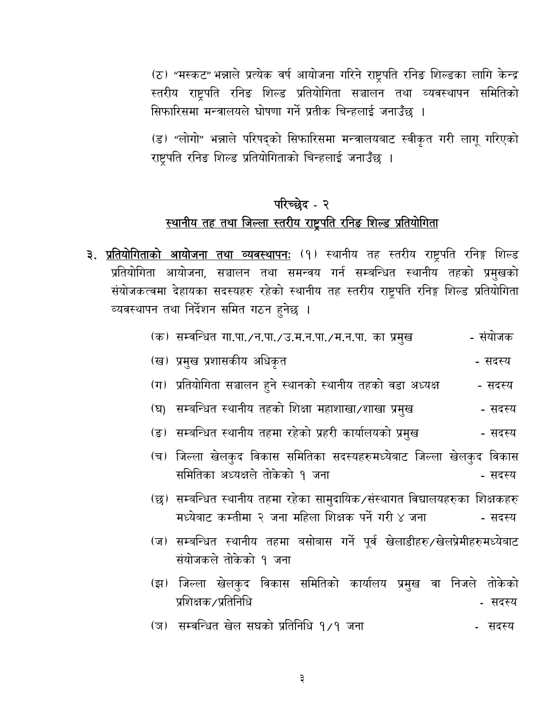(ठ) "मस्कट" भन्नाले प्रत्येक वर्ष आयोजना गरिने राष्ट्रपति रनिङ शिल्डका लागि केन्द्र स्तरीय राष्ट्रपति रनिङ शिल्ड प्रतियोगिता सञ्चालन तथा व्यवस्थापन समितिको सिफारिसमा मन्त्रालयले घोषणा गर्ने प्रतीक चिन्हलाई जनाउँछ ।

(ड) "लोगो" भन्नाले परिषद्को सिफारिसमा मन्त्रालयबाट स्वीकृत गरी लागू गरिएको राष्ट्रपति रनिङ शिल्ड प्रतियोगिताको चिन्हलाई जनाउँछ ।

# परिच्छेद - २ स्थानीय तह तथा जिल्ला स्तरीय राष्ट्रपति रनिङ शिल्ड प्रतियोगिता

**३. <u>प्रतियोगिताको आयोजना तथा व्यवस्थापनः</u> (१)** स्थानीय तह स्तरीय राष्ट्रपति रनिङ्ग शिल्ड प्रतियोगिता आयोजना, सञ्चालन तथा समन्वय गर्न सम्बन्धित स्थानीय तहको प्रमुखको संयोजकत्वमा देहायका सदस्यहरु रहेको स्थानीय तह स्तरीय राष्ट्रपति रनिङ्ग शिल्ड प्रतियोगिता व्यवस्थापन तथा निर्देशन समित गठन हुनेछ ।

|  | (क) सम्वन्धित गा.पा./न.पा./उ.म.न.पा./म.न.पा. का प्रमुख |  | - सयोजक |
|--|--------------------------------------------------------|--|---------|
|  |                                                        |  |         |
|  |                                                        |  |         |
|  |                                                        |  |         |

- (ख) प्रमुख प्रशासकीय अधिकृत - सदस्य
- (ग) प्रतियोगिता सञ्चालन हुने स्थानको स्थानीय तहको वडा अध्यक्ष - सदस्य
- (घ) सम्बन्धित स्थानीय तहको शिक्षा महाशाखा/शाखा प्रमुख - सदस्य
- (ङ) सम्बन्धित स्थानीय तहमा रहेको प्रहरी कार्यालयको प्रमुख - सदस्य
- (च) जिल्ला खेलकुद विकास समितिका सदस्यहरुमध्येबाट जिल्ला खेलकुद विकास समितिका अध्यक्षले तोकेको १ जना - सदस्य
- (छ) सम्बन्धित स्थानीय तहमा रहेका सामुदायिक/संस्थागत विद्यालयहरुका शिक्षकहरु मध्येबाट कम्तीमा २ जना महिला शिक्षक पर्ने गरी ४ जना - सदस्य
- (ज) सम्बन्धित स्थानीय तहमा बसोबास गर्ने पूर्व खेलाडीहरु/खेलप्रेमीहरुमध्येबाट संयोजकले तोकेको १ जना
- (झ) जिल्ला खेलकुद विकास समितिको कार्यालय प्रमुख वा निजले तोकेको प्रशिक्षक ⁄ प्रतिनिधि - सदस्य
- (ज) सम्वन्धित खेल सघको प्रतिनिधि १/१ जना सदस्य

३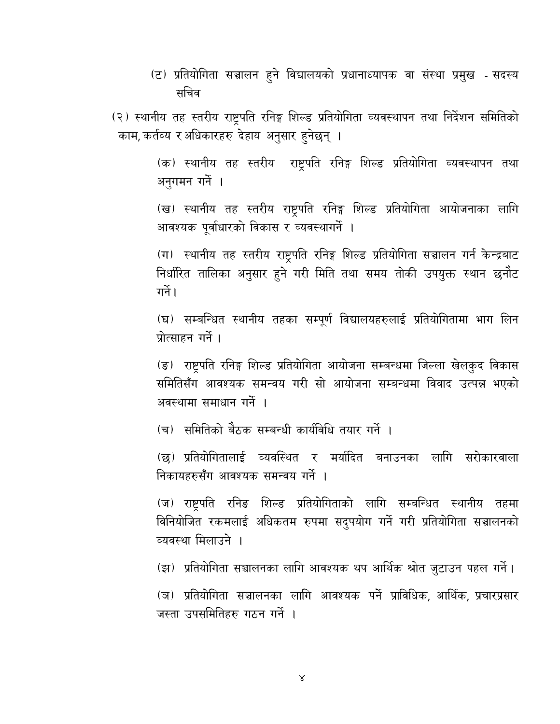(ट) प्रतियोगिता सञ्चालन हुने विद्यालयको प्रधानाध्यापक वा संस्था प्रमुख - सदस्य सचिव

(२) स्थानीय तह स्तरीय राष्ट्रपति रनिङ्ग शिल्ड प्रतियोगिता व्यवस्थापन तथा निर्देशन समितिको काम, कर्तव्य र अधिकारहरु देहाय अनुसार हुनेछन् ।

> (क) स्थानीय तह स्तरीय राष्ट्रपति रनिङ्ग शिल्ड प्रतियोगिता व्यवस्थापन तथा अनुगमन गर्ने ।

> (ख) स्थानीय तह स्तरीय राष्ट्रपति रनिङ्ग शिल्ड प्रतियोगिता आयोजनाका लागि आवश्यक पूर्वाधारको विकास र व्यवस्थागर्ने ।

> (ग) स्थानीय तह स्तरीय राष्ट्रपति रनिङ्ग शिल्ड प्रतियोगिता सञ्चालन गर्न केन्द्रबाट निर्धारित तालिका अनुसार हुने गरी मिति तथा समय तोकी उपयुक्त स्थान छनौट गर्ने।

> (घ) सम्बन्धित स्थानीय तहका सम्पूर्ण विद्यालयहरुलाई प्रतियोगितामा भाग लिन प्रोत्साहन गर्ने ।

> (ङ) राष्ट्रपति रनिङ्ग शिल्ड प्रतियोगिता आयोजना सम्बन्धमा जिल्ला खेलकुद विकास समितिसँग आवश्यक समन्वय गरी सो आयोजना सम्बन्धमा विवाद उत्पन्न भएको अवस्थामा समाधान गर्ने ।

(च) समितिको बैठक सम्बन्धी कार्यविधि तयार गर्ने ।

(छ) प्रतियोगितालाई व्यवस्थित र मर्यादित बनाउनका लागि सरोकारवाला निकायहरुसँग आवश्यक समन्वय गर्ने ।

(ज) राष्ट्रपति रनिङ शिल्ड प्रतियोगिताको लागि सम्बन्धित स्थानीय तहमा विनियोजित रकमलाई अधिकतम रुपमा सदुपयोग गर्ने गरी प्रतियोगिता सञ्चालनको व्यवस्था मिलाउने ।

(झ) प्रतियोगिता सञ्चालनका लागि आवश्यक थप आर्थिक श्रोत जुटाउन पहल गर्ने।

(ञ) प्रतियोगिता सञ्चालनका लागि आवश्यक पर्ने प्राविधिक, आर्थिक, प्रचारप्रसार जस्ता उपसमितिहरु गठन गर्ने ।

 $\lambda$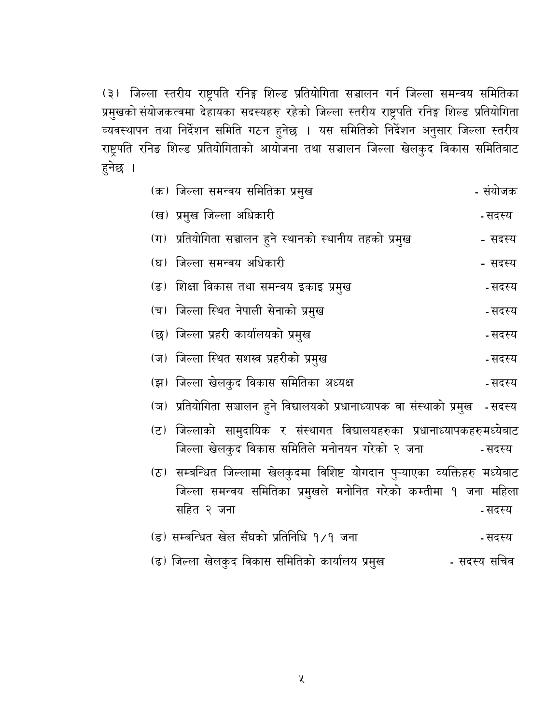(३) जिल्ला स्तरीय राष्ट्रपति रनिङ्ग शिल्ड प्रतियोगिता सञ्चालन गर्न जिल्ला समन्वय समितिका प्रमुखको संयोजकत्वमा देहायका सदस्यहरु रहेको जिल्ला स्तरीय राष्ट्रपति रनिङ्ग शिल्ड प्रतियोगिता व्यवस्थापन तथा निर्देशन समिति गठन हुनेछ । यस समितिको निर्देशन अनुसार जिल्ला स्तरीय राष्ट्रपति रनिङ शिल्ड प्रतियोगिताको आयोजना तथा सञ्चालन जिल्ला खेलकुद विकास समितिबाट हुनेछ ।

| (क) जिल्ला समन्वय समितिका प्रमुख                                                                                                                               | - संयोजक     |
|----------------------------------------------------------------------------------------------------------------------------------------------------------------|--------------|
| (ख) प्रमुख जिल्ला अधिकारी                                                                                                                                      | - सदस्य      |
| (ग)  प्रतियोगिता सञ्चालन हुने स्थानको स्थानीय तहको प्रमुख                                                                                                      | - सदस्य      |
| (घ) जिल्ला समन्वय अधिकारी                                                                                                                                      | - सदस्य      |
| (ङ) शिक्षा विकास तथा समन्वय इकाइ प्रमुख                                                                                                                        | - सदस्य      |
| (च) जिल्ला स्थित नेपाली सेनाको प्रमुख                                                                                                                          | - सदस्य      |
| (छ) जिल्ला प्रहरी कार्यालयको प्रमुख                                                                                                                            | - सदस्य      |
| (ज) जिल्ला स्थित सशस्त्र प्रहरीको प्रमुख                                                                                                                       | - सदस्य      |
| (झ) जिल्ला खेलकुद विकास समितिका अध्यक्ष                                                                                                                        | - सदस्य      |
| (ज) प्रतियोगिता सञ्चालन हुने विद्यालयको प्रधानाध्यापक वा संस्थाको प्रमुख   -सदस्य                                                                              |              |
| (ट) जिल्लाको सामुदायिक र संस्थागत विद्यालयहरुका प्रधानाध्यापकहरुमध्येबाट<br>जिल्ला खेलकुद विकास समितिले मनोनयन गरेको २ जना                                     | - सदस्य      |
| (ठ)  सम्बन्धित जिल्लामा खेलकुदमा विशिष्ट योगदान पुऱ्याएका व्यक्तिहरु मध्येबाट<br>जिल्ला समन्वय समितिका प्रमुखले मनोनित गरेको कम्तीमा १ जना महिला<br>सहित २ जना | - सदस्य      |
| (ड) सम्बन्धित खेल सँघको प्रतिनिधि १/१ जना                                                                                                                      | - सदस्य      |
| (ढ) जिल्ला खेलकुद विकास समितिको कार्यालय प्रमुख                                                                                                                | - सदस्य सचिव |

 $\chi$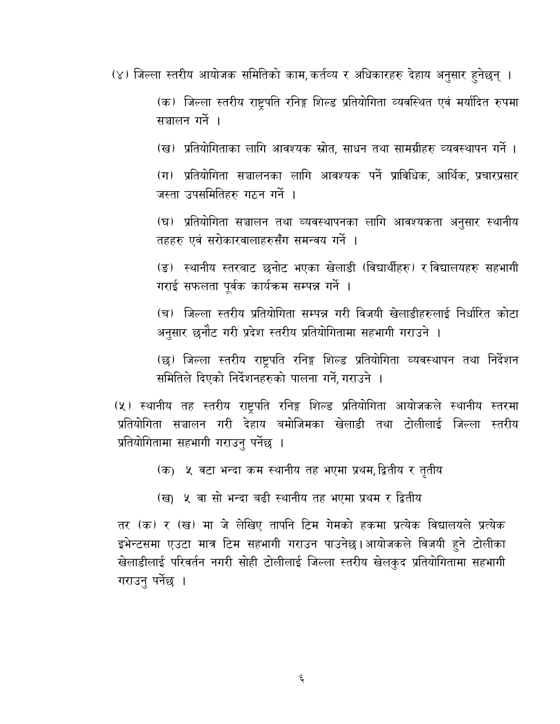(४) जिल्ला स्तरीय आयोजक समितिको काम, कर्तव्य र अधिकारहरु देहाय अनुसार हुनेछन् ।

(क) जिल्ला स्तरीय राष्ट्रपति रनिङ्ग शिल्ड प्रतियोगिता व्यवस्थित एवं मर्यादित रुपमा सञ्चालन गर्ने ।

(ख) प्रतियोगिताका लागि आवश्यक स्रोत, साधन तथा सामग्रीहरु व्यवस्थापन गर्ने ।

(ग) प्रतियोगिता सञ्चालनका लागि आवश्यक पर्ने प्राविधिक, आर्थिक, प्रचारप्रसार जस्ता उपसमितिहरु गठन गर्ने ।

(घ) प्रतियोगिता सञ्चालन तथा व्यवस्थापनका लागि आवश्यकता अनुसार स्थानीय तहहरु एवं सरोकारवालाहरुसँग समन्वय गर्ने ।

(ङ) स्थानीय स्तरबाट छनोट भएका खेलाडी (विद्यार्थीहरु) र विद्यालयहरु सहभागी गराई सफलता पूर्वक कार्यक्रम सम्पन्न गर्ने ।

(च) जिल्ला स्तरीय प्रतियोगिता सम्पन्न गरी विजयी खेलाडीहरुलाई निर्धारित कोटा अनुसार छनौट गरी प्रदेश स्तरीय प्रतियोगितामा सहभागी गराउने ।

(छ) जिल्ला स्तरीय राष्ट्रपति रनिङ्ग शिल्ड प्रतियोगिता व्यवस्थापन तथा निर्देशन समितिले दिएको निर्देशनहरुको पालना गर्ने, गराउने ।

(५) स्थानीय तह स्तरीय राष्ट्रपति रनिङ्ग शिल्ड प्रतियोगिता आयोजकले स्थानीय स्तरमा प्रतियोगिता सञ्चालन गरी देहाय बमोजिमका खेलाडी तथा टोलीलाई जिल्ला स्तरीय प्रतियोगितामा सहभागी गराउनु पर्नेछ ।

- (क) ५ वटा भन्दा कम स्थानीय तह भएमा प्रथम, द्वितीय र तृतीय
- (ख) ५ वा सो भन्दा बढी स्थानीय तह भएमा प्रथम र द्वितीय

तर (क) र (ख) मा जे लेखिए तापनि टिम गेमको हकमा प्रत्येक विद्यालयले प्रत्येक इभेन्टसमा एउटा मात्र टिम सहभागी गराउन पाउनेछ।आयोजकले विजयी हुने टोलीका खेलाडीलाई परिवर्तन नगरी सोही टोलीलाई जिल्ला स्तरीय खेलकुद प्रतियोगितामा सहभागी गराउनु पर्नेछ ।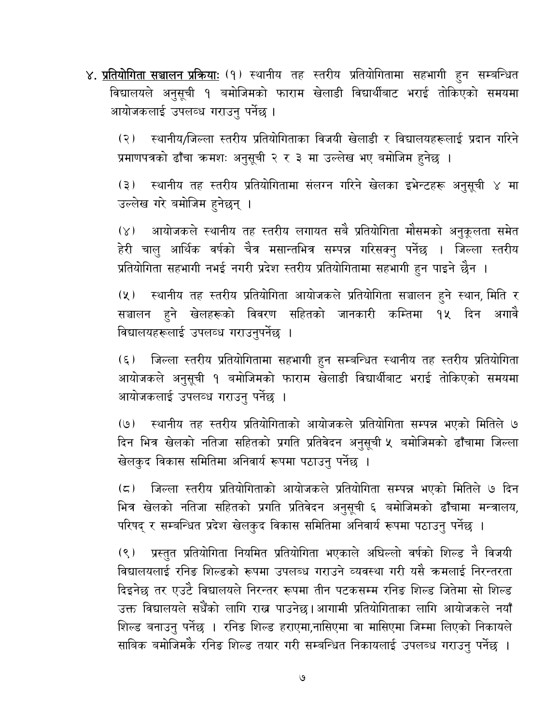४. <u>प्रतियोगिता सञ्चालन प्रक्रियाः</u> (१) स्थानीय तह स्तरीय प्रतियोगितामा सहभागी हुन सम्बन्धित विद्यालयले अनुसूची १ बमोजिमको फाराम खेलाडी विद्यार्थीबाट भराई तोकिएको समयमा आयोजकलाई उपलव्ध गराउनु पर्नेछ ।

स्थानीय/जिल्ला स्तरीय प्रतियोगिताका विजयी खेलाडी र विद्यालयहरूलाई प्रदान गरिने  $(5)$ प्रमाणपत्रको ढाँचा कमशः अनुसूची २ र ३ मा उल्लेख भए बमोजिम हुनेछ ।

स्थानीय तह स्तरीय प्रतियोगितामा संलग्न गरिने खेलका इभेन्टहरू अनुसूची ४ मा  $(5)$ उल्लेख गरे बमोजिम हुनेछन् ।

आयोजकले स्थानीय तह स्तरीय लगायत सबै प्रतियोगिता मौसमको अनुकूलता समेत  $(\times)$ हेरी चालु आर्थिक वर्षको चैत्र मसान्तभित्र सम्पन्न गरिसक्नु पर्नेछ । जिल्ला स्तरीय प्रतियोगिता सहभागी नभई नगरी प्रदेश स्तरीय प्रतियोगितामा सहभागी हुन पाइने छैन ।

(५) स्थानीय तह स्तरीय प्रतियोगिता आयोजकले प्रतियोगिता सञ्चालन हुने स्थान, मिति र सञ्चालन हुने खेलहरूको विवरण सहितको जानकारी कम्तिमा १५ दिन अगावै विद्यालयहरूलाई उपलव्ध गराउनुपर्नेछ ।

जिल्ला स्तरीय प्रतियोगितामा सहभागी हुन सम्बन्धित स्थानीय तह स्तरीय प्रतियोगिता  $(\xi)$ आयोजकले अनुसूची १ बमोजिमको फाराम खेलाडी विद्यार्थीबाट भराई तोकिएको समयमा आयोजकलाई उपलव्ध गराउन पर्नेछ ।

(७) स्थानीय तह स्तरीय प्रतियोगिताको आयोजकले प्रतियोगिता सम्पन्न भएको मितिले ७ दिन भित्र खेलको नतिजा सहितको प्रगति प्रतिवेदन अनुसूची ५ बमोजिमको ढाँचामा जिल्ला खेलकुद विकास समितिमा अनिवार्य रूपमा पठाउनु पर्नेछ ।

जिल्ला स्तरीय प्रतियोगिताको आयोजकले प्रतियोगिता सम्पन्न भएको मितिले ७ दिन  $(\boldsymbol{\varsigma})$ भित्र खेलको नतिजा सहितको प्रगति प्रतिवेदन अनुसूची ६ बमोजिमको ढाँचामा मन्त्रालय, परिषद् र सम्बन्धित प्रदेश खेलकुद विकास समितिमा अनिवार्य रूपमा पठाउनु पर्नेछ ।

प्रस्तुत प्रतियोगिता नियमित प्रतियोगिता भएकाले अघिल्लो वर्षको शिल्ड नै विजयी  $(8)$ विद्यालयलाई रनिङ शिल्डको रूपमा उपलब्ध गराउने व्यवस्था गरी यसै क्रमलाई निरन्तरता दिइनेछ तर एउटै विद्यालयले निरन्तर रूपमा तीन पटकसम्म रनिङ शिल्ड जितेमा सो शिल्ड उक्त विद्यालयले सधैँको लागि राख्न पाउनेछ।आगामी प्रतियोगिताका लागि आयोजकले नयाँ शिल्ड बनाउनु पर्नेछ । रनिङ शिल्ड हराएमा,नासिएमा वा मासिएमा जिम्मा लिएको निकायले साबिक बमोजिमकेे रनिङ शिल्ड तयार गरी सम्बन्धित निकायलाई उपलब्ध गराउनु पर्नेछ ।

৩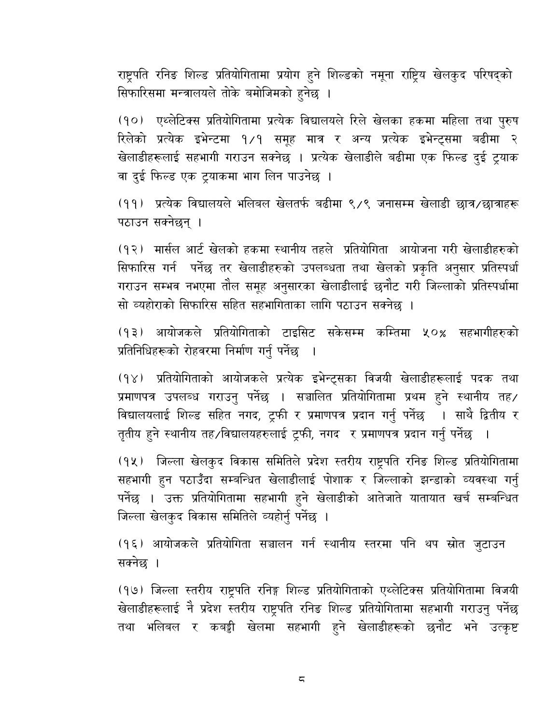राष्ट्रपति रनिङ शिल्ड प्रतियोगितामा प्रयोग हुने शिल्डको नमूना राष्ट्रिय खेलकुद परिषद्को सिफारिसमा मन्त्रालयले तोके बमोजिमको हुनेछ ।

(१०) एथ्लेटिक्स प्रतियोगितामा प्रत्येक विद्यालयले रिले खेलका हकमा महिला तथा पुरुष रिलेको प्रत्येक इभेन्टमा १⁄१ समूह मात्र र अन्य प्रत्येक इभेन्ट्समा बढीमा २ खेलाडीहरूलाई सहभागी गराउन सक्नेछ । प्रत्येक खेलाडीले बढीमा एक फिल्ड दुई ट्रयाक वा दुई फिल्ड एक ट्याकमा भाग लिन पाउनेछ ।

(११) प्रत्येक विद्यालयले भलिबल खेलतर्फ बढीमा ९/९ जनासम्म खेलाडी छात्र/छात्राहरू पठाउन सक्नेछन् ।

(१२) मार्सल आर्ट खेलको हकमा स्थानीय तहले प्रतियोगिता आयोजना गरी खेलाडीहरुको सिफारिस गर्न पर्नेछ तर खेलाडीहरुको उपलब्धता तथा खेलको प्रकृति अनुसार प्रतिस्पर्धा गराउन सम्भव नभएमा तौल समूह अनुसारका खेलाडीलाई छनौट गरी जिल्लाको प्रतिस्पर्धामा सो व्यहोराको सिफारिस सहित सहभागिताका लागि पठाउन सक्नेछ ।

(१३) आयोजकले प्रतियोगिताको टाइसिट सकेसम्म कम्तिमा ५०% सहभागीहरुको प्रतिनिधिहरूको रोहवरमा निर्माण गर्नु पर्नेछ

(१४) प्रतियोगिताको आयोजकले प्रत्येक इभेन्ट्सका विजयी खेलाडीहरूलाई पदक तथा प्रमाणपत्र उपलब्ध गराउनु पर्नेछ । सञ्चालित प्रतियोगितामा प्रथम हुने स्थानीय तह विद्यालयलाई शिल्ड सहित नगद, ट्रफी र प्रमाणपत्र प्रदान गर्नु पर्नेछ । साथै द्वितीय र तृतीय हुने स्थानीय तह ⁄विद्यालयहरुलाई ट्रफी, नगद र प्रमाणपत्र प्रदान गर्नु पर्नेछ ।

(१५) जिल्ला खेलकुद विकास समितिले प्रदेश स्तरीय राष्ट्रपति रनिङ शिल्ड प्रतियोगितामा सहभागी हुन पठाउँदा सम्बन्धित खेलाडीलाई पोशाक र जिल्लाको झन्डाको व्यवस्था गर्नु पर्नेछ । उक्त प्रतियोगितामा सहभागी हुने खेलाडीको आतेजाते यातायात खर्च सम्बन्धित जिल्ला खेलकुद विकास समितिले व्यहोर्नु पर्नेछ ।

(१६) आयोजकले प्रतियोगिता सञ्चालन गर्न स्थानीय स्तरमा पनि थप स्रोत जुटाउन सक्नेछ ।

(१७) जिल्ला स्तरीय राष्ट्रपति रनिङ्ग शिल्ड प्रतियोगिताको एथ्लेटिक्स प्रतियोगितामा विजयी खेलाडीहरूलाई नै प्रदेश स्तरीय राष्ट्रपति रनिङ शिल्ड प्रतियोगितामा सहभागी गराउनु पर्नेछ तथा भलिबल र कबड्डी खेलमा सहभागी हुने खेलाडीहरूको छनौट भने उत्कृष्ट

 $\overline{\mathsf{c}}$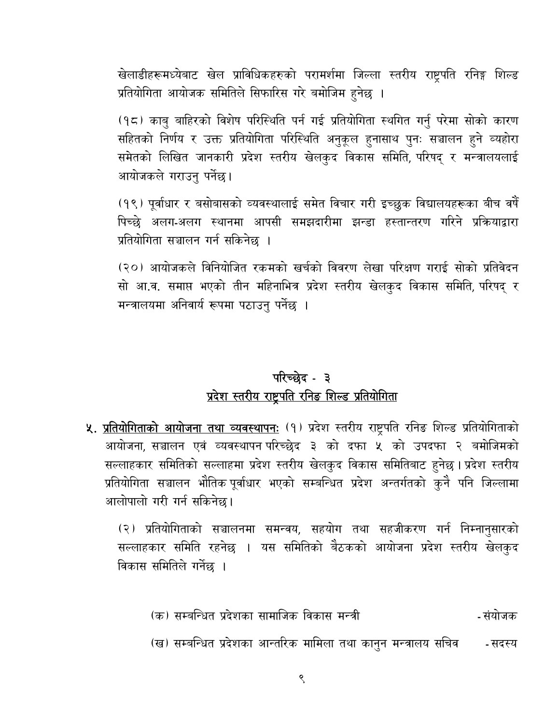खेलाडीहरूमध्येबाट खेल प्राविधिकहरुको परामर्शमा जिल्ला स्तरीय राष्ट्रपति रनिङ्ग शिल्ड प्रतियोगिता आयोजक समितिले सिफारिस गरे बमोजिम हुनेछ ।

(१८) काबु बाहिरको विशेष परिस्थिति पर्न गई प्रतियोगिता स्थगित गर्नु परेमा सोको कारण सहितको निर्णय र उक्त प्रतियोगिता परिस्थिति अनुकूल हुनासाथ पुनः सञ्चालन हुने व्यहोरा समेतको लिखित जानकारी प्रदेश स्तरीय खेलकुद विकास समिति, परिषद् र मन्त्रालयलाई आयोजकले गराउनु पर्नेछ।

(१९) पूर्वाधार र बसोबासको व्यवस्थालाई समेत विचार गरी इच्छुक विद्यालयहरूका बीच वर्षे पिच्छे अलग-अलग स्थानमा आपसी समझदारीमा झन्डा हस्तान्तरण गरिने प्रक्रियाद्वारा प्रतियोगिता सञ्चालन गर्न सकिनेछ ।

(२०) आयोजकले विनियोजित रकमको खर्चको विवरण लेखा परिक्षण गराई सोको प्रतिवेदन सो आ.व. समाप्त भएको तीन महिनाभित्र प्रदेश स्तरीय खेलकुद विकास समिति, परिषद् र मन्त्रालयमा अनिवार्य रूपमा पठाउनु पर्नेछ ।

## परिच्छेद - ३ प्रदेश स्तरीय राष्ट्रपति रनिङ शिल्ड प्रतियोगिता

५. <u>प्रतियोगिताको आयोजना तथा व्यवस्थापनः</u> (१) प्रदेश स्तरीय राष्ट्रपति रनिङ शिल्ड प्रतियोगिताको आयोजना, सञ्चालन एवं व्यवस्थापन परिच्छेद ३ को दफा ५ को उपदफा २ बमोजिमको सल्लाहकार समितिको सल्लाहमा प्रदेश स्तरीय खेलकुद विकास समितिबाट हुनेछ। प्रदेश स्तरीय प्रतियोगिता सञ्चालन भौतिक पूर्वाधार भएको सम्बन्धित प्रदेश अन्तर्गतको कुनै पनि जिल्लामा आलोपालो गरी गर्न सकिनेछ।

(२) प्रतियोगिताको सञ्चालनमा समन्वय, सहयोग तथा सहजीकरण गर्न निम्नानुसारको सल्लाहकार समिति रहनेछ । यस समितिको बैठकको आयोजना प्रदेश स्तरीय खेलकुद विकास समितिले गर्नेछ ।

- (क) सम्बन्धित प्रदेशका सामाजिक विकास मन्त्री - संयोजक
- (ख) सम्बन्धित प्रदेशका आन्तरिक मामिला तथा कानुन मन्त्रालय सचिव - सदस्य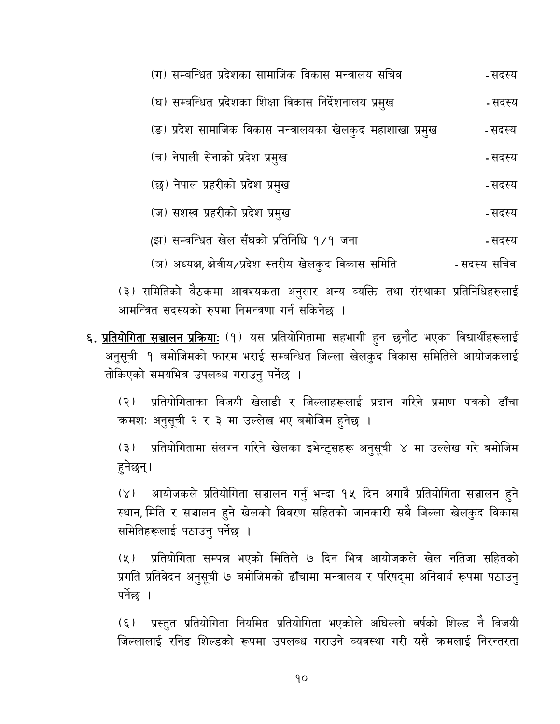| (ग) सम्बन्धित प्रदेशका सामाजिक विकास मन्त्रालय सचिव        | - सदस्य     |
|------------------------------------------------------------|-------------|
| (घ) सम्बन्धित प्रदेशका शिक्षा विकास निर्देशनालय प्रमुख     | - सदस्य     |
| (ङ) प्रदेश सामाजिक विकास मन्त्रालयका खेलकुद महाशाखा प्रमुख | - सदस्य     |
| (च) नेपाली सेनाको प्रदेश प्रमुख                            | - सदस्य     |
| (छ) नेपाल प्रहरीको प्रदेश प्रमुख                           | - सदस्य     |
| (ज) सशस्त्र प्रहरीको प्रदेश प्रमुख                         | - सदस्य     |
| (झ) सम्वन्धित खेल सँघको प्रतिनिधि १/१ जना                  | - सदस्य     |
| (ञ) अध्यक्ष, क्षेत्रीय/प्रदेश स्तरीय खेलकुद विकास समिति    | -सदस्य सचिव |

(३) समितिको बैठकमा आवश्यकता अनुसार अन्य व्यक्ति तथा संस्थाका प्रतिनिधिहरुलाई आमन्त्रित सदस्यको रुपमा निमन्त्रणा गर्न सकिनेछ ।

**६. <u>प्रतियोगिता सञ्चालन प्रक्रियाः</u> (१) यस प्रतियोगितामा सहभागी हुन छनौट भएका विद्यार्थीहरूलाई** अनुसूची १ बमोजिमको फारम भराई सम्बन्धित जिल्ला खेलकुद विकास समितिले आयोजकलाई तोकिएको समयभित्र उपलब्ध गराउनु पर्नेछ ।

प्रतियोगिताका विजयी खेलाडी र जिल्लाहरूलाई प्रदान गरिने प्रमाण पत्रको ढाँचा  $(5)$ कमशः अनुसूची २ र ३ मा उल्लेख भए बमोजिम हुनेछ ।

प्रतियोगितामा संलग्न गरिने खेलका इभेन्ट्सहरू अनुसूची ४ मा उल्लेख गरे बमोजिम  $(5)$ हुनेछन् ।

आयोजकले प्रतियोगिता सञ्चालन गर्नु भन्दा १५ दिन अगावै प्रतियोगिता सञ्चालन हुने  $(\lambda)$ स्थान, मिति र सञ्चालन हुने खेलको विवरण सहितको जानकारी सबै जिल्ला खेलकुद विकास समितिहरूलाई पठाउनु पर्नेछ ।

प्रतियोगिता सम्पन्न भएको मितिले ७ दिन भित्र आयोजकले खेल नतिजा सहितको  $(\lambda)$ प्रगति प्रतिवेदन अनुसूची ७ बमोजिमको ढाँचामा मन्त्रालय र परिषद्मा अनिवार्य रूपमा पठाउनु पर्नेछ ।

प्रस्तुत प्रतियोगिता नियमित प्रतियोगिता भएकोले अघिल्लो वर्षको शिल्ड नै विजयी  $(\xi)$ जिल्लालाई रनिङ शिल्डको रूपमा उपलब्ध गराउने व्यवस्था गरी यसै कमलाई निरन्तरता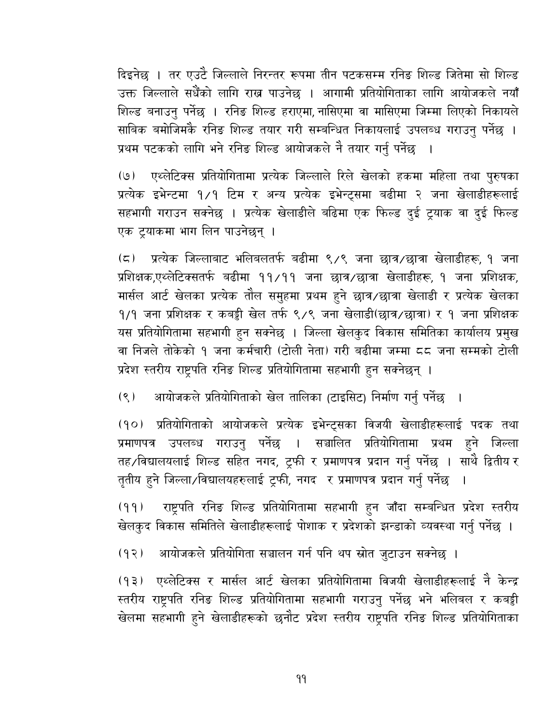दिइनेछ । तर एउटै जिल्लाले निरन्तर रूपमा तीन पटकसम्म रनिङ शिल्ड जितेमा सो शिल्ड उक्त जिल्लाले सधैँको लागि राख्न पाउनेछ । आगामी प्रतियोगिताका लागि आयोजकले नयाँ शिल्ड बनाउनु पर्नेछ । रनिङ शिल्ड हराएमा, नासिएमा वा मासिएमा जिम्मा लिएको निकायले साबिक बमोजिमकेे रनिङ शिल्ड तयार गरी सम्बन्धित निकायलाई उपलब्ध गराउनु पर्नेछ । प्रथम पटकको लागि भने रनिङ शिल्ड आयोजकले नै तयार गर्नु पर्नेछ

एथ्लेटिक्स प्रतियोगितामा प्रत्येक जिल्लाले रिले खेलको हकमा महिला तथा पुरुषका  $(9)$ प्रत्येक इभेन्टमा १/१ टिम र अन्य प्रत्येक इभेन्ट्समा बढीमा २ जना खेलाडीहरूलाई सहभागी गराउन सक्नेछ । प्रत्येक खेलाडीले बढिमा एक फिल्ड दुई ट्रयाक वा दुई फिल्ड एक ट्रयाकमा भाग लिन पाउनेछन् ।

प्रत्येक जिल्लाबाट भलिबलतर्फ बढीमा ९/९ जना छात्र/छात्रा खेलाडीहरू, १ जना  $(\zeta)$ प्रशिक्षक,एथ्लेटिक्सतर्फ बढीमा ११/११ जना छात्र/छात्रा खेलाडीहरू, १ जना प्रशिक्षक, मार्सल आर्ट खेलका प्रत्येक तौल समुहमा प्रथम हुने छात्र/छात्रा खेलाडी र प्रत्येक खेलका 9/9 जना प्रशिक्षक र कबड्डी खेल तर्फ ९/९ जना खेलाडी(छात्र/छात्रा) र १ जना प्रशिक्षक यस प्रतियोगितामा सहभागी हुन सक्नेछ । जिल्ला खेलकुद विकास समितिका कार्यालय प्रमुख वा निजले तोकेको १ जना कर्मचारी (टोली नेता) गरी बढीमा जम्मा ८८ जना सम्मको टोली प्रदेश स्तरीय राष्ट्रपति रनिङ शिल्ड प्रतियोगितामा सहभागी हुन सक्नेछन् ।

आयोजकले प्रतियोगिताको खेल तालिका (टाइसिट) निर्माण गर्नु पर्नेछ ।  $(8)$ 

(१०) प्रतियोगिताको आयोजकले प्रत्येक इभेन्ट्सका विजयी खेलाडीहरूलाई पदक तथा प्रमाणपत्र उपलब्ध गराउनु पर्नेछ । सञ्चालित प्रतियोगितामा प्रथम हुने जिल्ला तह ∕विद्यालयलाई शिल्ड सहित नगद, ट्रफी र प्रमाणपत्र प्रदान गर्नु पर्नेछ । साथै द्वितीय र तृतीय हुने जिल्ला ∕विद्यालयहरुलाई ट्रफी, नगद र प्रमाणपत्र प्रदान गर्नु पर्नेछ  $\overline{\phantom{0}}$ 

राष्ट्रपति रनिङ शिल्ड प्रतियोगितामा सहभागी हुन जाँदा सम्बन्धित प्रदेश स्तरीय  $(99)$ खेलकुद विकास समितिले खेलाडीहरूलाई पोशाक र प्रदेशको झन्डाको व्यवस्था गर्नु पर्नेछ ।

आयोजकले प्रतियोगिता सञ्चालन गर्न पनि थप स्रोत जुटाउन सक्नेछ ।  $(92)$ 

(१३) एथ्लेटिक्स र मार्सल आर्ट खेलका प्रतियोगितामा विजयी खेलाडीहरूलाई नै केन्द्र स्तरीय राष्ट्रपति रनिङ शिल्ड प्रतियोगितामा सहभागी गराउनु पर्नेछ भने भलिबल र कबड्डी खेलमा सहभागी हुने खेलाडीहरूको छनौट प्रदेश स्तरीय राष्ट्रपति रनिङ शिल्ड प्रतियोगिताका

 $99$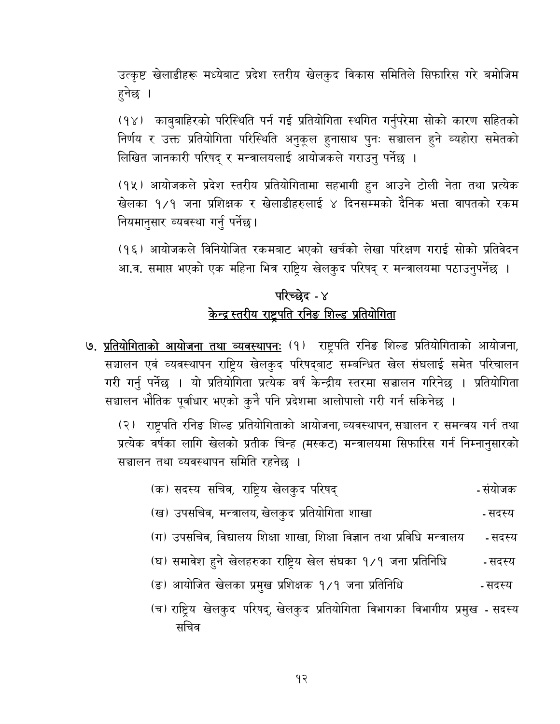उत्कृष्ट खेलाडीहरू मध्येबाट प्रदेश स्तरीय खेलकुद विकास समितिले सिफारिस गरे बमोजिम हुनेछ ।

(१४) काबुबाहिरको परिस्थिति पर्न गई प्रतियोगिता स्थगित गर्नुपरेमा सोको कारण सहितको निर्णय र उक्त प्रतियोगिता परिस्थिति अनुकूल हुनासाथ पुनः सञ्चालन हुने व्यहोरा समेतको लिखित जानकारी परिषद् र मन्त्रालयलाई आयोजकले गराउनु पर्नेछ ।

(१५) आयोजकले प्रदेश स्तरीय प्रतियोगितामा सहभागी हुन आउने टोली नेता तथा प्रत्येक खेलका १/१ जना प्रशिक्षक र खेलाडीहरुलाई ४ दिनसम्मको दैनिक भत्ता वापतको रकम नियमानुसार व्यवस्था गर्नु पर्नेछ ।

(१६) आयोजकले विनियोजित रकमबाट भएको खर्चको लेखा परिक्षण गराई सोको प्रतिवेदन आ.व. समाप्त भएको एक महिना भित्र राष्ट्रिय खेलकुद परिषद् र मन्त्रालयमा पठाउनुपर्नेछ ।

# परिच्छेद - ४ केन्द्र स्तरीय राष्ट्रपति रनिङ शिल्ड प्रतियोगिता

७. प्रतियोगिताको आयोजना तथा व्यवस्थापन: (१) राष्ट्रपति रनिङ शिल्ड प्रतियोगिताको आयोजना, सञ्चालन एवं व्यवस्थापन राष्ट्रिय खेलकुद परिषद्बाट सम्बन्धित खेल संघलाई समेत परिचालन गरी गर्नु पर्नेछ । यो प्रतियोगिता प्रत्येक वर्ष केन्द्रीय स्तरमा सञ्चालन गरिनेछ । प्रतियोगिता सञ्चालन भौतिक पूर्वाधार भएको कुनै पनि प्रदेशमा आलोपालो गरी गर्न सकिनेछ ।

(२) राष्ट्रपति रनिङ शिल्ड प्रतियोगिताको आयोजना, व्यवस्थापन, सञ्चालन र समन्वय गर्न तथा प्रत्येक वर्षका लागि खेलको प्रतीक चिन्ह (मस्कट) मन्त्रालयमा सिफारिस गर्न निम्नानुसारको सञ्चालन तथा व्यवस्थापन समिति रहनेछ ।

- (क) सदस्य सचिव, राष्ट्रिय खेलकुद परिषद् - संयोजक
- (ख) उपसचिव, मन्त्रालय, खेलकुद प्रतियोगिता शाखा - सदस्य
- (ग) उपसचिव, विद्यालय शिक्षा शाखा, शिक्षा विज्ञान तथा प्रविधि मन्त्रालय - सदस्य
- (घ) समावेश हुने खेलहरुका राष्ट्रिय खेल संघका १/१ जना प्रतिनिधि - सदस्य
- (ङ) आयोजित खेलका प्रमुख प्रशिक्षक १/१ जना प्रतिनिधि - सदस्य
- (च) राष्ट्रिय खेलकुद परिषद्, खेलकुद प्रतियोगिता विभागका विभागीय प्रमुख सदस्य सचिव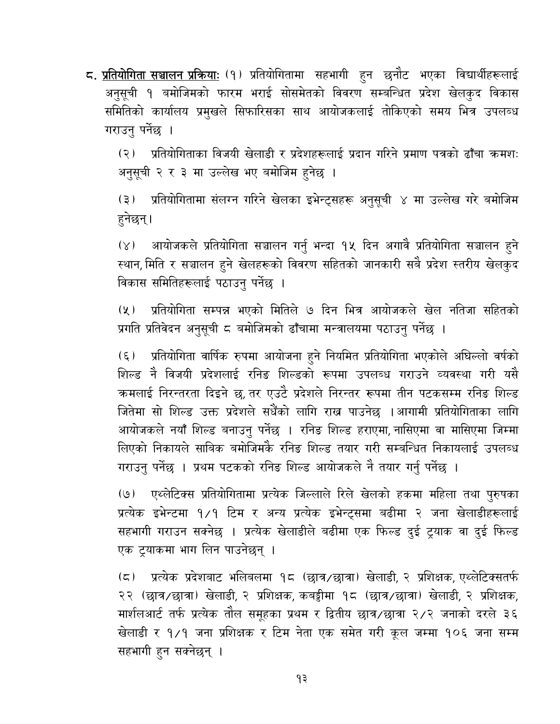**८. <u>प्रतियोगिता सञ्चालन प्रक्रियाः</u> (१) प्र**तियोगितामा सहभागी हुन छनौट भएका विद्यार्थीहरूलाई अनुसूची १ बमोजिमको फारम भराई सोसमेतको विवरण सम्बन्धित प्रदेश खेलकुद विकास समितिको कार्यालय प्रमुखले सिफारिसका साथ आयोजकलाई तोकिएको समय भित्र उपलब्ध गराउनु पर्नेछ ।

(२) प्रतियोगिताका विजयी खेलाडी र प्रदेशहरूलाई प्रदान गरिने प्रमाण पत्रको ढाँचा कमशः अनुसूची २ र ३ मा उल्लेख भए बमोजिम हुनेछ ।

प्रतियोगितामा संलग्न गरिने खेलका इभेन्ट्सहरू अनुसूची ४ मा उल्लेख गरे बमोजिम  $(3)$ हुनेछन्।

आयोजकले प्रतियोगिता सञ्चालन गर्नु भन्दा १५ दिन अगावै प्रतियोगिता सञ्चालन हुने  $(\lambda)$ स्थान, मिति र सञ्चालन हुने खेलहरूको विवरण सहितको जानकारी सबै प्रदेश स्तरीय खेलकुद विकास समितिहरूलाई पठाउनु पर्नेछ ।

प्रतियोगिता सम्पन्न भएको मितिले ७ दिन भित्र आयोजकले खेल नतिजा सहितको  $(\lambda)$ प्रगति प्रतिवेदन अनुसूची ८ बमोजिमको ढाँचामा मन्त्रालयमा पठाउनु पर्नेछ ।

प्रतियोगिता वार्षिक रुपमा आयोजना हुने नियमित प्रतियोगिता भएकोले अघिल्लो वर्षको  $(\xi)$ शिल्ड नै विजयी प्रदेशलाई रनिङ शिल्डको रूपमा उपलब्ध गराउने व्यवस्था गरी यसै कमलाई निरन्तरता दिइने छ, तर एउटै प्रदेशले निरन्तर रूपमा तीन पटकसम्म रनिङ शिल्ड जितेमा सो शिल्ड उक्त प्रदेशले सधैँको लागि राख पाउनेछ ।आगामी प्रतियोगिताका लागि आयोजकले नयाँ शिल्ड बनाउनु पर्नेछ । रनिङ शिल्ड हराएमा, नासिएमा वा मासिएमा जिम्मा लिएको निकायले साबिक बमोजिमकै रनिङ शिल्ड तयार गरी सम्बन्धित निकायलाई उपलब्ध गराउनु पर्नेछ । प्रथम पटकको रनिङ शिल्ड आयोजकले नै तयार गर्नु पर्नेछ ।

एथ्लेटिक्स प्रतियोगितामा प्रत्येक जिल्लाले रिले खेलको हकमा महिला तथा पुरुषका  $\Theta$ प्रत्येक इभेन्टमा १/१ टिम र अन्य प्रत्येक इभेन्ट्समा बढीमा २ जना खेलाडीहरूलाई सहभागी गराउन सक्नेछ । प्रत्येक खेलाडीले बढीमा एक फिल्ड दुई ट्रयाक वा दुई फिल्ड एक ट्रयाकमा भाग लिन पाउनेछन् ।

(८) प्रत्येक प्रदेशबाट भलिबलमा १८ (छात्र/छात्रा) खेलाडी, २ प्रशिक्षक, एथ्लेटिक्सतर्फ २२ (छात्र/छात्रा) खेलाडी, २ प्रशिक्षक, कबड्डीमा १८ (छात्र/छात्रा) खेलाडी, २ प्रशिक्षक, मार्शलआर्ट तर्फ प्रत्येक तौल समूहका प्रथम र द्वितीय छात्र/छात्रा २/२ जनाको दरले ३६ खेलाडी र १/१ जना प्रशिक्षक र टिम नेता एक समेत गरी कुल जम्मा १०६ जना सम्म सहभागी हुन सक्नेछन् ।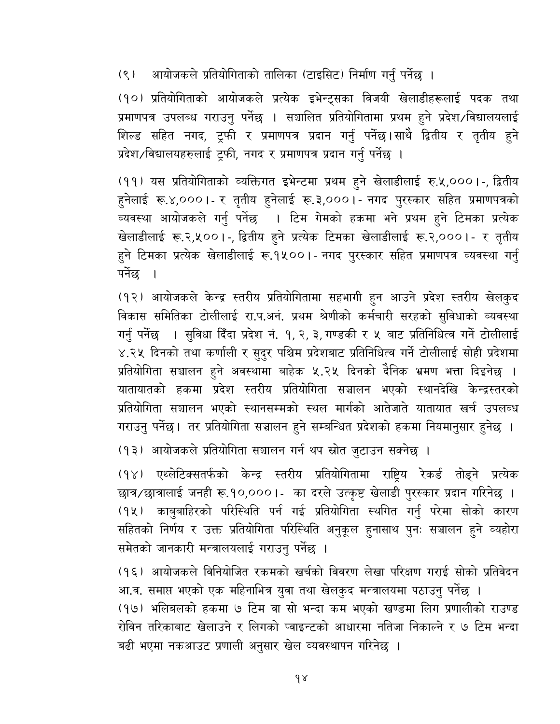आयोजकले प्रतियोगिताको तालिका (टाइसिट) निर्माण गर्नु पर्नेछ ।  $(8)$ 

(१०) प्रतियोगिताको आयोजकले प्रत्येक इभेन्ट्सका विजयी खेलाडीहरूलाई पदक तथा प्रमाणपत्र उपलब्ध गराउनु पर्नेछ । सञ्चालित प्रतियोगितामा प्रथम हुने प्रदेश /विद्यालयलाई शिल्ड सहित नगद, ट्रफी र प्रमाणपत्र प्रदान गर्नु पर्नेछ।साथै द्वितीय र तृतीय हुने प्रदेश / विद्यालयहरुलाई ट्रफी, नगद र प्रमाणपत्र प्रदान गर्नु पर्नेछ ।

(११) यस प्रतियोगिताको व्यक्तिगत इभेन्टमा प्रथम हुने खेलाडीलाई रु.५,०००।-, द्वितीय हुनेलाई रू.४,०००।- र तृतीय हुनेलाई रू.३,०००।- नगद पुरस्कार सहित प्रमाणपत्रको व्यवस्था आयोजकले गर्नु पर्नेछ । टिम गेमको हकमा भने प्रथम हुने टिमका प्रत्येक खेलाडीलाई रू.२,५००।-, द्वितीय हुने प्रत्येक टिमका खेलाडीलाई रू.२,०००।- र तृतीय हुने टिमका प्रत्येक खेलाडीलाई रू.१५००।- नगद पुरस्कार सहित प्रमाणपत्र व्यवस्था गर्नु पर्नेछ ।

(१२) आयोजकले केन्द्र स्तरीय प्रतियोगितामा सहभागी हुन आउने प्रदेश स्तरीय खेलकुद विकास समितिका टोलीलाई रा.प.अनं. प्रथम श्रेणीको कर्मचारी सरहको सुविधाको व्यवस्था गर्नु पर्नेछ । सुविधा दिँदा प्रदेश नं. १, २, ३, गण्डकी र ५ बाट प्रतिनिधित्व गर्ने टोलीलाई ४.२५ दिनको तथा कर्णाली र सुदुर पश्चिम प्रदेशबाट प्रतिनिधित्व गर्ने टोलीलाई सोही प्रदेशमा प्रतियोगिता सञ्चालन हुने अवस्थामा बाहेक ५.२५ दिनको दैनिक भ्रमण भत्ता दिइनेछ । यातायातको हकमा प्रदेश स्तरीय प्रतियोगिता सञ्चालन भएको स्थानदेखि केन्द्रस्तरको प्रतियोगिता सञ्चालन भएको स्थानसम्मको स्थल मार्गको आतेजाते यातायात खर्च उपलब्ध गराउनु पर्नेछ। तर प्रतियोगिता सञ्चालन हुने सम्बन्धित प्रदेशको हकमा नियमानुसार हुनेछ ।

(१३) आयोजकले प्रतियोगिता सञ्चालन गर्न थप स्रोत जुटाउन सक्नेछ ।

(१४) एथ्लेटिक्सतर्फको केन्द्र स्तरीय प्रतियोगितामा राष्ट्रिय रेकर्ड तोड्ने प्रत्येक छात्र/छात्रालाई जनही रू.१०,०००।- का दरले उत्कृष्ट खेलाडी पुरस्कार प्रदान गरिनेछ । (१५) काबुबाहिरको परिस्थिति पर्न गई प्रतियोगिता स्थगित गर्नु परेमा सोको कारण सहितको निर्णय र उक्त प्रतियोगिता परिस्थिति अनुकूल हुनासाथ पुनः सञ्चालन हुने व्यहोर<mark>ा</mark> समेतको जानकारी मन्त्रालयलाई गराउनु पर्नेछ ।

(१६) आयोजकले विनियोजित रकमको खर्चको विवरण लेखा परिक्षण गराई सोको प्रतिवेदन आ.व. समाप्त भएको एक महिनाभित्र युवा तथा खेलकुद मन्त्रालयमा पठाउनु पर्नेछ । (१७) भलिबलको हकमा ७ टिम वा सो भन्दा कम भएको खण्डमा लिग प्रणालीको राउण्ड रोविन तरिकाबाट खेलाउने र लिगको प्वाइन्टको आधारमा नतिजा निकाल्ने र ७ टिम भन्दा बढी भएमा नकआउट प्रणाली अनुसार खेल व्यवस्थापन गरिनेछ ।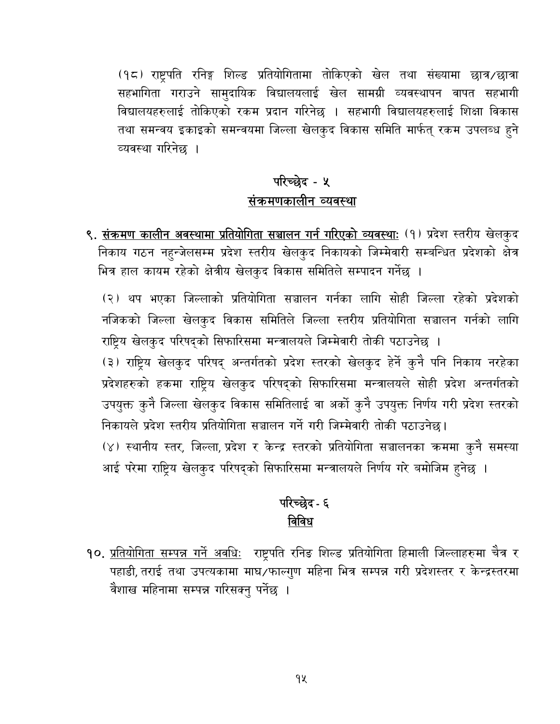(१८) राष्ट्रपति रनिङ्ग शिल्ड प्रतियोगितामा तोकिएको खेल तथा संख्यामा छात्र/छात्रा सहभागिता गराउने सामुदायिक विद्यालयलाई खेल सामग्री व्यवस्थापन वापत सहभागी विद्यालयहरुलाई तोकिएको रकम प्रदान गरिनेछ । सहभागी विद्यालयहरुलाई शिक्षा विकास तथा समन्वय इकाइको समन्वयमा जिल्ला खेलकुद विकास समिति मार्फत् रकम उपलब्ध हुने व्यवस्था गरिनेछ ।

# परिच्छेद - ५ संक्रमणकालीन व्यवस्था

९. <u>संक्रमण कालीन अवस्थामा प्रतियोगिता सञ्चालन गर्न गरिएको व्यवस्थाः</u> (१) प्रदेश स्तरीय खेलकुद निकाय गठन नहुन्जेलसम्म प्रदेश स्तरीय खेलकुद निकायको जिम्मेवारी सम्बन्धित प्रदेशको क्षेत्र भित्र हाल कायम रहेको क्षेत्रीय खेलकुद विकास समितिले सम्पादन गर्नेछ ।

(२) थप भएका जिल्लाको प्रतियोगिता सञ्चालन गर्नका लागि सोही जिल्ला रहेको प्रदेशको नजिकको जिल्ला खेलकुद विकास समितिले जिल्ला स्तरीय प्रतियोगिता सञ्चालन गर्नको लागि राष्ट्रिय खेलकुद परिषद्को सिफारिसमा मन्त्रालयले जिम्मेवारी तोकी पठाउनेछ ।

(३) राष्ट्रिय खेलकुद परिषद् अन्तर्गतको प्रदेश स्तरको खेलकुद हेर्ने कुनै पनि निकाय नरहेका प्रदेशहरुको हकमा राष्ट्रिय खेलकुद परिषद्को सिफारिसमा मन्त्रालयले सोही प्रदेश अन्तर्गतको उपयुक्त कुनै जिल्ला खेलकुद विकास समितिलाई वा अर्को कुनै उपयुक्त निर्णय गरी प्रदेश स्तरको निकायले प्रदेश स्तरीय प्रतियोगिता सञ्चालन गर्ने गरी जिम्मेवारी तोकी पठाउनेछ। (४) स्थानीय स्तर, जिल्ला, प्रदेश र केन्द्र स्तरको प्रतियोगिता सञ्चालनका क्रममा कुनै समस्या आई परेमा राष्ट्रिय खेलकुद परिषद्को सिफारिसमा मन्त्रालयले निर्णय गरे बमोजिम हुनेछ ।

# परिच्छेद - ६ विविध

<mark>१०. <u>प्रतियोगिता सम्पन्न गर्ने अवधिः</u> राष्ट्रपति रनिङ शिल्ड प्रतियोगिता हिमाली जिल्लाहरुमा चैत्र र</mark> पहाडी, तराई तथा उपत्यकामा माघ⁄फाल्गुण महिना भित्र सम्पन्न गरी प्रदेशस्तर र केन्द्रस्तरमा वैशाख महिनामा सम्पन्न गरिसक्नु पर्नेछ ।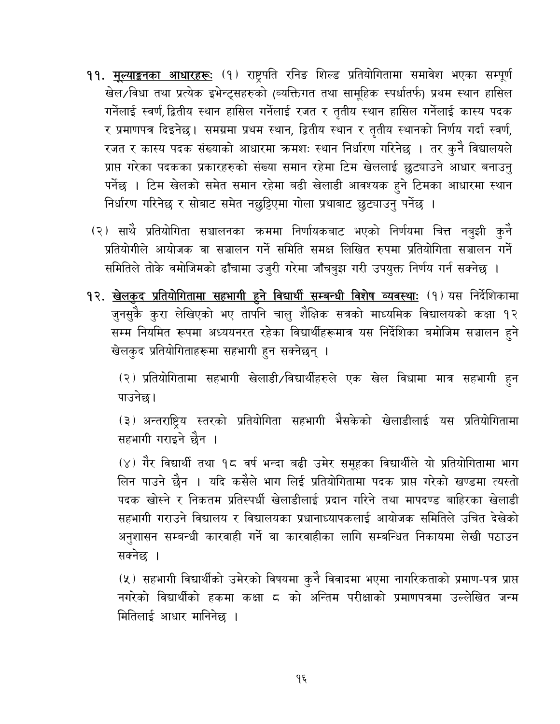- **११. <u>मूल्याङ्कनका आधारहरूः</u> (१) रा**ष्ट्रपति रनिङ शिल्ड प्रतियोगितामा समावेश भएका सम्पूर्ण खेल/विधा तथा प्रत्येक इभेन्ट्सहरुको (व्यक्तिगत तथा सामूहिक स्पर्धातर्फ) प्रथम स्थान हासिल गर्नेलाई स्वर्ण, द्वितीय स्थान हासिल गर्नेलाई रजत र तृतीय स्थान हासिल गर्नेलाई कास्य पदक र प्रमाणपत्र दिइनेछ। समग्रमा प्रथम स्थान, द्वितीय स्थान र तृतीय स्थानको निर्णय गर्दा स्वर्ण, रजत र कास्य पदक संख्याको आधारमा कमशः स्थान निर्धारण गरिनेछ । तर कुनै विद्यालयले प्राप्त गरेका पदकका प्रकारहरुको संख्या समान रहेमा टिम खेललाई छुट्याउने आधार बनाउनु पर्नेछ । टिम खेलको समेत समान रहेमा बढी खेलाडी आवश्यक हुने टिमका आधारमा स्थान निर्धारण गरिनेछ र सोबाट समेत नछुट्टिएमा गोला प्रथाबाट छुट्याउनु पर्नेछ ।
- (२) साथै प्रतियोगिता सञ्चालनका क्रममा निर्णायकबाट भएको निर्णयमा चित्त नबुझी कुनै प्रतियोगीले आयोजक वा सञ्चालन गर्ने समिति समक्ष लिखित रुपमा प्रतियोगिता सञ्चालन गर्ने समितिले तोके वमोजिमको ढाँचामा उजुरी गरेमा जाँचबुझ गरी उपयुक्त निर्णय गर्न सक्नेछ ।
- १२. <u>खेलकुद प्रतियोगितामा सहभागी हुने विद्यार्थी सम्बन्धी विशेष व्यवस्थाः</u> (१) यस निर्देशिकामा जुनसुकै कुरा लेखिएको भए तापनि चालु शैक्षिक सत्रको माध्यमिक विद्यालयको कक्षा १२ सम्म नियमित रूपमा अध्ययनरत रहेका विद्यार्थीहरूमात्र यस निर्देशिका बमोजिम सञ्चालन हुने खेलकुद प्रतियोगिताहरूमा सहभागी हुन सक्नेछन् ।

(२) प्रतियोगितामा सहभागी खेलाडी/विद्यार्थीहरुले एक खेल विधामा मात्र सहभागी हुन पाउनेछ।

(३) अन्तराष्ट्रिय स्तरको प्रतियोगिता सहभागी भैसकेको खेलाडीलाई यस प्रतियोगितामा सहभागी गराइने छैन ।

(४) गैर विद्यार्थी तथा १८ वर्ष भन्दा बढी उमेर समूहका विद्यार्थीले यो प्रतियोगितामा भाग लिन पाउने छैन । यदि कसैले भाग लिई प्रतियोगितामा पदक प्राप्त गरेको खण्डमा त्यस्तो पदक खोस्ने र निकतम प्रतिस्पर्धी खेलाडीलाई प्रदान गरिने तथा मापदण्ड बाहिरका खेलाडी सहभागी गराउने विद्यालय र विद्यालयका प्रधानाध्यापकलाई आयोजक समितिले उचित देखेको अनुशासन सम्बन्धी कारवाही गर्ने वा कारवाहीका लागि सम्बन्धित निकायमा लेखी पठाउन सक्नेछ ।

(५) सहभागी विद्यार्थीको उमेरको विषयमा कुनै विवादमा भएमा नागरिकताको प्रमाण-पत्र प्राप्त नगरेको विद्यार्थीको हकमा कक्षा ८ को अन्तिम परीक्षाको प्रमाणपत्रमा उल्लेखित जन्म मितिलाई आधार मानिनेछ ।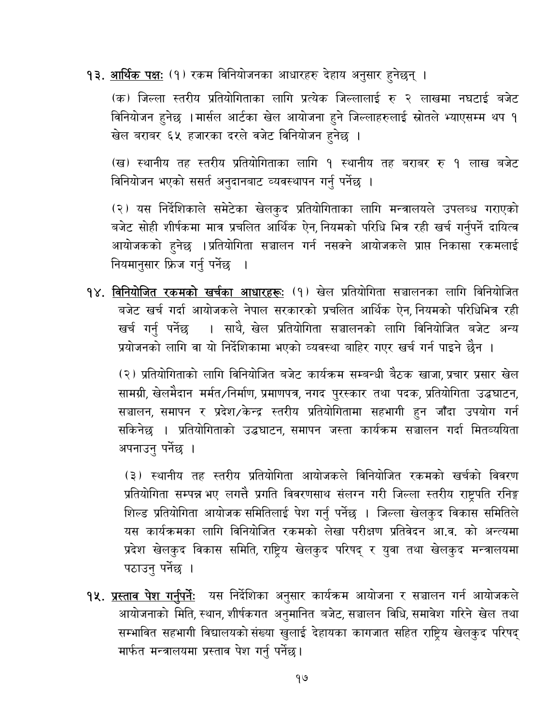<mark>१३. <u>आर्थिक पक्षः</u> (१) रकम विनियोजनका आधारहरु देहाय अनुसार हुनेछन् ।</mark>

(क) जिल्ला स्तरीय प्रतियोगिताका लागि प्रत्येक जिल्लालाई रु २ लाखमा नघटाई बजेट विनियोजन हुनेछ । मार्सल आर्टका खेल आयोजना हुने जिल्लाहरुलाई स्रोतले भ्याएसम्म थप १ खेल बराबर ६५ हजारका दरले वजेट विनियोजन हुनेछ ।

(ख) स्थानीय तह स्तरीय प्रतियोगिताका लागि १ स्थानीय तह बराबर रु १ लाख बजेट विनियोजन भएको ससर्त अनुदानबाट व्यवस्थापन गर्नु पर्नेछ ।

(२) यस निर्देशिकाले समेटेका खेलकुद प्रतियोगिताका लागि मन्त्रालयले उपलब्ध गराएको बजेट सोही शीर्षकमा मात्र प्रचलित आर्थिक ऐन, नियमको परिधि भित्र रही खर्च गर्नुपर्ने दायित्व आयोजकको हुनेछ ।प्रतियोगिता सञ्चालन गर्न नसक्ने आयोजकले प्राप्त निकासा रकमलाई नियमानुसार फ्रिज गर्नु पर्नेछ  $\overline{\phantom{a}}$ 

१४. विनियोजित रकमको खर्चका आधारहरू: (१) खेल प्रतियोगिता सञ्चालनका लागि विनियोजित बजेट खर्च गर्दा आयोजकले नेपाल सरकारको प्रचलित आर्थिक ऐन, नियमको परिधिभित्र रही खर्च गर्नु पर्नेछ । साथै, खेल प्रतियोगिता सञ्चालनको लागि विनियोजित बजेट अन्य प्रयोजनको लागि वा यो निर्देशिकामा भएको व्यवस्था बाहिर गएर खर्च गर्न पाइने छैन ।

(२) प्रतियोगिताको लागि विनियोजित बजेट कार्यक्रम सम्बन्धी बैठक खाजा, प्रचार प्रसार खेल सामग्री, खेलमैदान मर्मत/निर्माण, प्रमाणपत्र, नगद पुरस्कार तथा पदक, प्रतियोगिता उद्धघाटन, सञ्चालन, समापन र प्रदेश/केन्द्र स्तरीय प्रतियोगितामा सहभागी हुन जाँदा उपयोग गर्न सकिनेछ । प्रतियोगिताको उद्धघाटन, समापन जस्ता कार्यक्रम सञ्चालन गर्दा मितव्ययिता अपनाउनु पर्नेछ ।

(३) स्थानीय तह स्तरीय प्रतियोगिता आयोजकले विनियोजित रकमको खर्चको विवरण प्रतियोगिता सम्पन्न भए लगत्तै प्रगति विवरणसाथ संलग्न गरी जिल्ला स्तरीय राष्ट्रपति रनिङ्ग शिल्ड प्रतियोगिता आयोजक समितिलाई पेश गर्नु पर्नेछ । जिल्ला खेलकुद विकास समितिले यस कार्यक्रमका लागि विनियोजित रकमको लेखा परीक्षण प्रतिवेदन आ.व. को अन्त्यमा प्रदेश खेलकुद विकास समिति, राष्ट्रिय खेलकुद परिषद् र युवा तथा खेलकुद मन्त्रालयमा पठाउनु पर्नेछ ।

<mark>१५. <u>प्रस्ताव पेश गर्नुपर्नेः</mark> यस निर्देशिका अनुसार कार्यक्रम आयोजना र सञ्चालन गर्न आयोजकले</mark></mark></u> आयोजनाको मिति, स्थान, शीर्षकगत अनुमानित बजेट, सञ्चालन विधि, समावेश गरिने खेल तथा सम्भावित सहभागी विद्यालयको संख्या खुलाई देहायका कागजात सहित राष्टिय खेलकुद परिषद मार्फत मन्त्रालयमा प्रस्ताव पेश गर्नु पर्नेछ।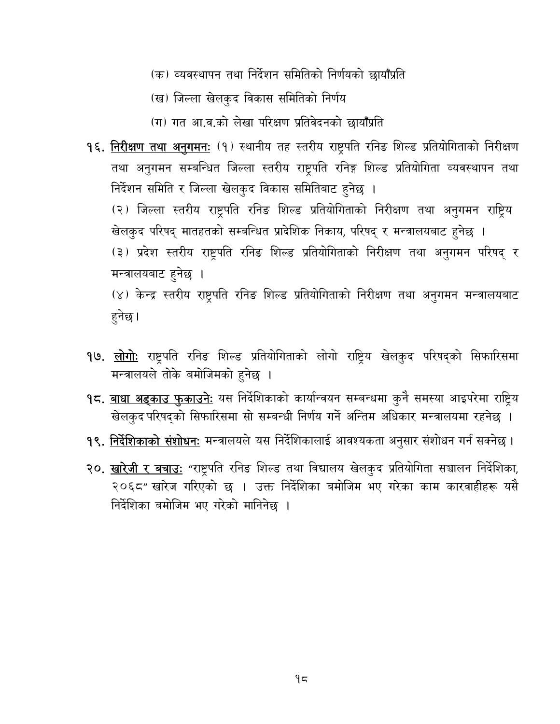- (क) व्यवस्थापन तथा निर्देशन समितिको निर्णयको छायाँप्रति
- (ख) जिल्ला खेलकुद विकास समितिको निर्णय
- (ग) गत आ.व.को लेखा परिक्षण प्रतिवेदनको छायाँप्रति
- १६. निरीक्षण तथा अनुगमन: (१) स्थानीय तह स्तरीय राष्ट्रपति रनिङ शिल्ड प्रतियोगिताको निरीक्षण तथा अनुगमन सम्बन्धित जिल्ला स्तरीय राष्ट्रपति रनिङ्ग शिल्ड प्रतियोगिता व्यवस्थापन तथा निर्देशन समिति र जिल्ला खेलकुद विकास समितिबाट हुनेछ ।

(२) जिल्ला स्तरीय राष्ट्रपति रनिङ शिल्ड प्रतियोगिताको निरीक्षण तथा अनुगमन राष्ट्रिय खेलकुद परिषद् मातहतको सम्बन्धित प्रादेशिक निकाय, परिषद् र मन्त्रालयबाट हुनेछ ।

(३) प्रदेश स्तरीय राष्ट्रपति रनिङ शिल्ड प्रतियोगिताको निरीक्षण तथा अनुगमन परिषद् र मन्त्रालयबाट हुनेछ ।

(४) केन्द्र स्तरीय राष्ट्रपति रनिङ शिल्ड प्रतियोगिताको निरीक्षण तथा अनुगमन मन्त्रालयबाट हुनेछ ।

- १७. <u>लोगोः</u> राष्ट्रपति रनिङ शिल्ड प्रतियोगिताको लोगो राष्ट्रिय खेलकुद परिषद्को सिफारिसमा मन्त्रालयले तोके बमोजिमको हुनेछ ।
- **१८. <u>बाधा अड्काउ फुकाउनेः</u> यस निर्दे**शिकाको कार्यान्वयन सम्बन्धमा कुनै समस्या आइपरेमा राष्ट्रिय खेलकुद परिषद्को सिफारिसमा सो सम्बन्धी निर्णय गर्ने अन्तिम अधिकार मन्त्रालयमा रहनेछ ।
- <mark>१९. <u>निर्देशिकाको संशोधनः</u> मन्त्रा</mark>लयले यस निर्देशिकालाई आवश्यकता अनुसार संशोधन गर्न सक्नेछ ।
- २०. खारेजी र बचाउ: "राष्ट्रपति रनिङ शिल्ड तथा विद्यालय खेलकुद प्रतियोगिता सञ्चालन निर्देशिका, २०६८" खारेज गरिएको छ । उक्त निर्देशिका बमोजिम भए गरेका काम कारवाहीहरू यसै निर्देशिका बमोजिम भए गरेको मानिनेछ ।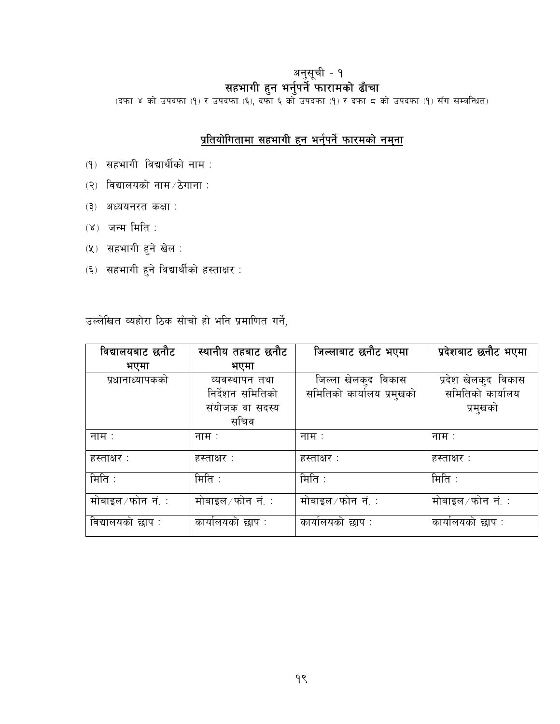थनुसूची - १<br>स<mark>हभागी हुन भर्नुपर्ने फारामको ढाँचा</mark><br>(दफा ४ को उपदफा (१) र उपदफा (६), दफा ६ को उपदफा (१) र दफा ८ को उपदफा (१) सँग सम्बन्धित)

## प्रतियोगितामा सहभागी हुन भर्नुपर्ने फारमको नमुना

- (१) सहभागी विद्यार्थीको नाम:
- $(3)$  विद्यालयको नाम $\overline{2}$ ठेगाना :
- (३) अध्ययनरत कक्षा :
- $(8)$  जन्म मिति :
- (५) सहभागी हुने खेल :
- (६) सहभागी हुने विद्यार्थीको हस्ताक्षर:

उल्लेखित व्यहोरा ठिक साँचो हो भनि प्रमाणित गर्ने,

| विद्यालयबाट छनौट   | स्थानीय तहबाट छनौट | जिल्लाबाट छनौट भएमा       | प्रदेशबाट छनौट भएमा |
|--------------------|--------------------|---------------------------|---------------------|
| भएमा               | भएमा               |                           |                     |
| प्रधानाध्यापकको    | व्यवस्थापन तथा     | जिल्ला खेलकुद विकास       | प्रदेश खेलकुद विकास |
|                    | निर्देशन समितिको   | समितिको कार्यालय प्रमुखको | समितिको कार्यालय    |
|                    | संयोजक वा सदस्य    |                           | प्रमुखको            |
|                    | सचिव               |                           |                     |
| नाम $\therefore$   | नाम $\therefore$   | नाम $\,$ :                | नाम $\,$ :          |
| हस्ताक्षर :        | हस्ताक्षर :        | हस्ताक्षर :               | हस्ताक्षर :         |
| मिति $\,$ :        | मिति :             | मिति $\colon$             | मिति $\pm$          |
| मोबाइल ∕ फोन_नं. ∶ | मोबाइल ∕ फोन_नं. ∶ | मोबाइल ∕ फोन नं. ∶        | मोबाइल ∕ फोन_नं. ∶  |
| विद्यालयको छाप :   | कार्यालयको छाप :   | कार्यालयको छाप :          | कार्यालयको छाप :    |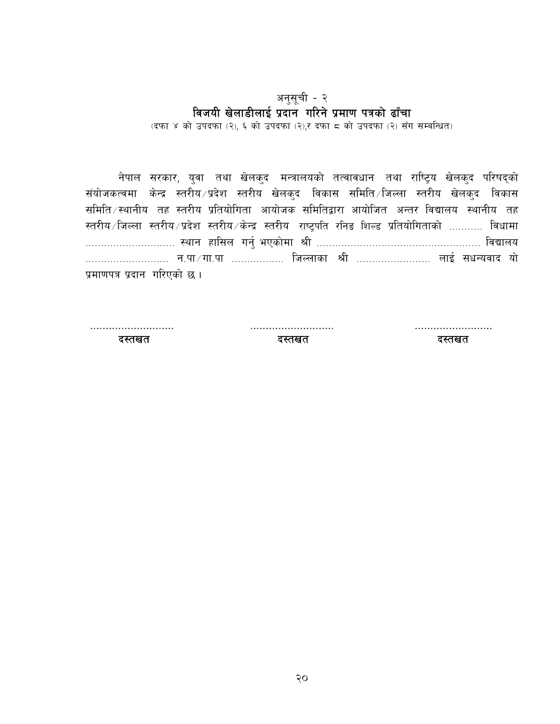#### अनुसूची - २ विजयी खेलाडीलाई प्रदान गरिने प्रमाण पत्रको ढाँचा

(दफा ४ को उपदफा (२), ६ को उपदफा (२),र दफा ८ को उपदफा (२) सँग सम्बन्धित)

नेपाल सरकार, युवा तथा खेलकुद मन्त्रालयको तत्वावधान तथा राष्ट्रिय खेलकुद परिषद्को संयोजकत्वमा केन्द्र स्तरीय प्रदेश स्तरीय खेलकुद विकास समिति जिल्ला स्तरीय खेलकुद विकास समिति स्थानीय तह स्तरीय प्रतियोगिता आयोजक समितिद्वारा आयोजित अन्तर विद्यालय स्थानीय तह स्तरीय /जिल्ला स्तरीय /प्रदेश स्तरीय /केन्द्र स्तरीय राष्ट्रपति रनिङ शिल्ड प्रतियोगिताको ........... विधामा ……………………… न.पा ∕ गा.पा ……………… जिल्लाका श्री …………………… लाई सधन्यवाद यो प्रमाणपत्र प्रदान गरिएको छ।

दस्तखत

दस्तखत

दस्तखत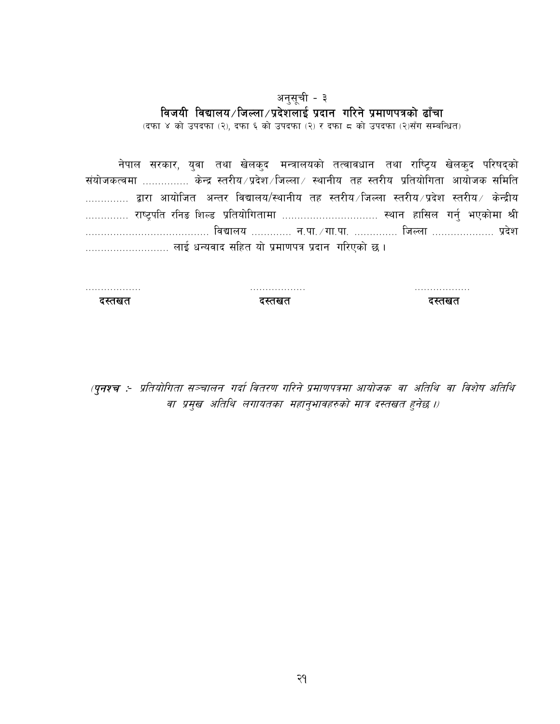#### अनुसूची - ३ विजयी विद्यालय/जिल्ला/प्रदेशलाई प्रदान गरिने प्रमाणपत्रको ढाँचा

(दफा ४ को उपदफा (२), दफा ६ को उपदफा (२) र दफा ८ को उपदफा (२)सँग सम्बन्धित)

नेपाल सरकार, युवा तथा खेलकुद मन्त्रालयको तत्वावधान तथा राष्ट्रिय खेलकुद परिषद्को संयोजकत्वमा ............... केन्द्र स्तरीय/प्रदेश/जिल्ला/ स्थानीय तह स्तरीय प्रतियोगिता आयोजक समिति ………….. द्वारा आयोजित अन्तर विद्यालय/स्थानीय तह स्तरीय ∕जिल्ला स्तरीय ∕प्रदेश स्तरीय ∕ केन्द्रीय .............. राष्ट्रपति रनिङ शिल्ड प्रतियोगितामा ............................... स्थान हासिल गर्नु भएकोमा श्री ………………………………… विद्यालय …………. न.पा. ⁄ गा.पा. …………. जिल्ला ………………. प्रदेश ........................... लाई धन्यवाद सहित यो प्रमाणपत्र प्रदान गरिएको छ ।

. . . . . . . . . . . . . . . . . . दस्तखत

. . . . . . . . . . . . . . . . . . दस्तखत

. . . . . . . . . . . . . . . . . . दस्तखत

(**पुनश्च**ः- प्रतियोगिता सञ्चालन गर्दा वितरण गरिने प्रमाणपत्रमा आयोजक वा अतिथि वा विशेष अतिथि वा प्रमुख अतिथि लगायतका महानुभावहरुको मात्र दस्तखत हुनेछ ।)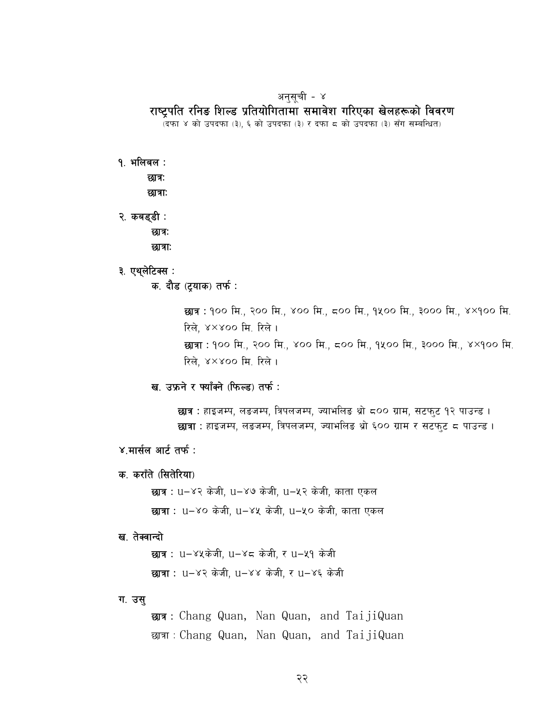#### अनुसूची - ४

#### राष्टपति रनिङ शिल्ड प्रतियोगितामा समावेश गरिएका खेलहरूको विवरण

.<br>(दफा ४ को उपदफा (३), ६ को उपदफा (३) र दफा ८ को उपदफा (३) सँग सम्बन्धित)

१. भलिबल :

छात्र:

छात्राः

- २. कबड्डी : छात्र: छात्राः
- ३. एथ्लेटिक्स :
	- क. दौड (ट्याक) तर्फ :

छात्र : १०० मि., २०० मि., ४०० मि., ८०० मि., १५०० मि., ३००० मि., ४×१०० मि. रिले, ४×४०० मि. रिले। छात्रा : १०० मि., २०० मि., ४०० मि., ८०० मि., १५०० मि., ३००० मि., ४×१०० मि. रिले, ४×४०० मि. रिले ।

ख. उफ्रने र फ्याँक्ने (फिल्ड) तर्फ:

छ्यत्र : हाइजम्प, लडजम्प, त्रिपलजम्प, ज्याभलिड थ्रो ८०० ग्राम, सटफुट १२ पाउन्ड । **छात्रा** : हाइजम्प, लडजम्प, त्रिपलजम्प, ज्याभलिङ थ्रो ६०० ग्राम र सटफ्ट ८ पाउन्ड ।

- ४.मार्सल आर्ट तर्फ:
- क. कराँते (सितेरिया)

**छात्र :** u–४२ केजी, u–४७ केजी, u–५२ केजी, काता एकल छात्रा: u-४० केजी, u-४५ केजी, u-५० केजी, काता एकल

#### ख. तेक्वान्दो

छात्र: u-४५केजी, u-४८ केजी, र u-५१ केजी छात्रा: u-४२ केजी, u-४४ केजी, र u-४६ केजी

#### ग. उस्

छात्र: Chang Quan, Nan Quan, and TaijiQuan द्धात्रा: Chang Quan, Nan Quan, and TaijiQuan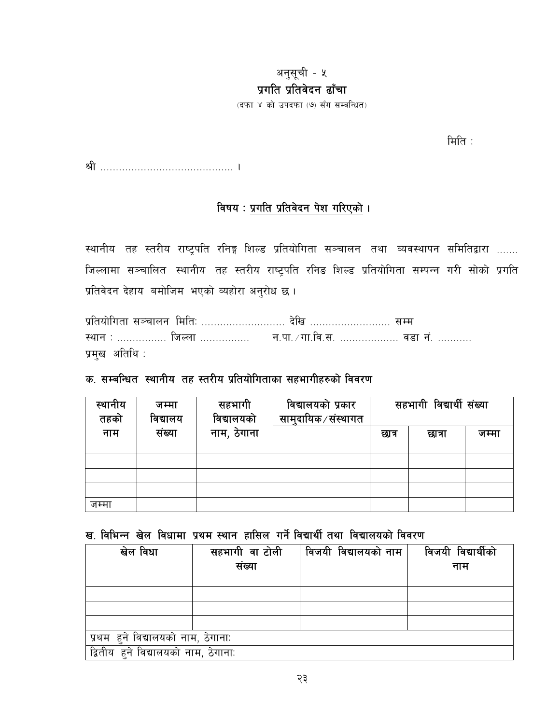#### अनुसूची - ५ प्रगति प्रतिवेदन ढाँचा

(दफा ४ को उपदफा (७) सँग सम्बन्धित)

मिति $\pm$ 

#### विषय: प्रगति प्रतिवेदन पेश गरिएको।

स्थानीय तह स्तरीय राष्ट्रपति रनिङ्ग शिल्ड प्रतियोगिता सञ्चालन तथा व्यवस्थापन समितिद्वारा ....... जिल्लामा सञ्चालित स्थानीय तह स्तरीय राष्ट्रपति रनिङ शिल्ड प्रतियोगिता सम्पन्न गरी सोको प्रगति प्रतिवेदन देहाय बमोजिम भएको व्यहोरा अनुरोध छ।

प्रतियोगिता सञ्चालन मितिः ........................... देखि .......................... सम्म प्रमुख अतिथि:

#### क, सम्बन्धित, स्थानीय, तह स्तरीय प्रतियोगिताका सहभागीहरुको विवरण

| स्थानीय<br>तहको | जम्मा<br>विद्यालय | सहभागी<br>विद्यालयको | विद्यालयको प्रकार<br>सामुदायिक∕संस्थागत |       | सहभागी विद्यार्थी संख्या |       |
|-----------------|-------------------|----------------------|-----------------------------------------|-------|--------------------------|-------|
| नाम             | संख्या            | नाम, ठेगाना          |                                         | छात्र | छात्रा                   | जम्मा |
|                 |                   |                      |                                         |       |                          |       |
|                 |                   |                      |                                         |       |                          |       |
|                 |                   |                      |                                         |       |                          |       |
| जम्मा           |                   |                      |                                         |       |                          |       |

#### ख. विभिन्न खेल विधामा प्रथम स्थान हासिल गर्ने विद्यार्थी तथा विद्यालयको विवरण

| खेल विधा                             | सहभागी वा टोली | विजयी विद्यालयको नाम | विजयी विद्यार्थीको |  |  |
|--------------------------------------|----------------|----------------------|--------------------|--|--|
|                                      | संख्या         |                      | नाम                |  |  |
|                                      |                |                      |                    |  |  |
|                                      |                |                      |                    |  |  |
|                                      |                |                      |                    |  |  |
|                                      |                |                      |                    |  |  |
| प्रथम हुने विद्यालयको नाम, ठेगाना:   |                |                      |                    |  |  |
| द्वितीय हुने विद्यालयको नाम, ठेगानाः |                |                      |                    |  |  |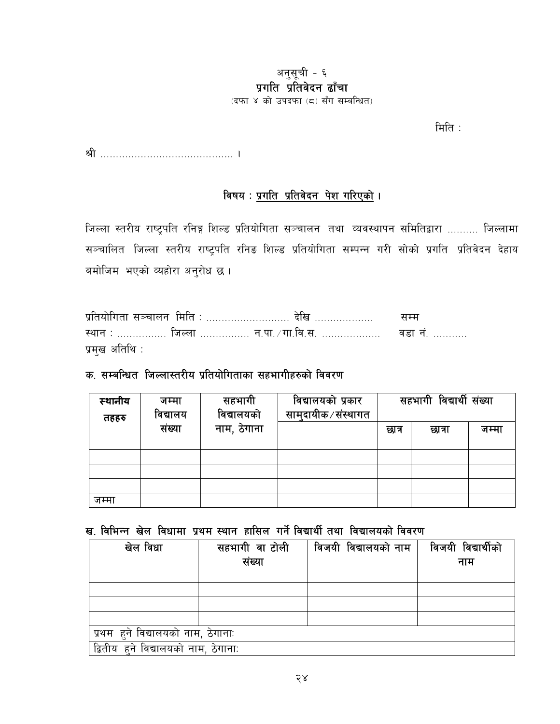## अनुसूची - ६ प्रगति प्रतिवेदन ढाँचा

(दफा ४ को उपदफा (८) सँग सम्बन्धित)

 $\hat{H}$ ति $\hat{B}$ :

## विषय : <u>प्रगति प्रतिवेदन पेश गरिएको</u> ।

जिल्ला स्तरीय राष्ट्रपति रनिङ्ग शिल्ड प्रतियोगिता सञ्चालन तथा व्यवस्थापन समितिद्वारा .......... जिल्लामा सञ्चालित जिल्ला स्तरीय राष्ट्रपति रनिङ शिल्ड प्रतियोगिता सम्पन्न गरी सोको प्रगति प्रतिवेदन देहाय बमोजिम भएको व्यहोरा अनुरोध छ।

| प्रतियोगिता सञ्चालन मिति :  देखि                                          | स सम |
|---------------------------------------------------------------------------|------|
| <u>स्थान : …………… जिल्ला …………… न.पा. /गा.वि.स. ………………      वडा नं. ………</u> |      |
| प्रमुख अतिथि :                                                            |      |

#### क. सम्बन्धित जिल्लास्तरीय प्रतियोगिताका सहभागीहरुको विवरण

| स्थानीय<br>तहहरु | जम्मा<br>विद्यालय | सहभागी<br>विद्यालयको | विद्यालयको प्रकार<br>सामुदायीक ∕ संस्थागत |       | सहभागी विद्यार्थी संख्या |       |
|------------------|-------------------|----------------------|-------------------------------------------|-------|--------------------------|-------|
|                  | संख्या            | नाम, ठेगाना          |                                           | छात्र | छात्रा                   | जम्मा |
|                  |                   |                      |                                           |       |                          |       |
|                  |                   |                      |                                           |       |                          |       |
|                  |                   |                      |                                           |       |                          |       |
| जम्मा            |                   |                      |                                           |       |                          |       |

## ख. विभिन्न खेल विधामा प्रथम स्थान हासिल गर्ने विद्यार्थी तथा विद्यालयको विवरण

| खेल विधा                             | सहभागी वा टोली | विजयी विद्यालयको नाम | विजयी विद्यार्थीको |  |  |  |
|--------------------------------------|----------------|----------------------|--------------------|--|--|--|
|                                      | संख्या         |                      | नाम                |  |  |  |
|                                      |                |                      |                    |  |  |  |
|                                      |                |                      |                    |  |  |  |
|                                      |                |                      |                    |  |  |  |
|                                      |                |                      |                    |  |  |  |
| प्रथम हुने विद्यालयको नाम, ठेगाना:   |                |                      |                    |  |  |  |
| द्वितीय हुने विद्यालयको नाम, ठेगाना: |                |                      |                    |  |  |  |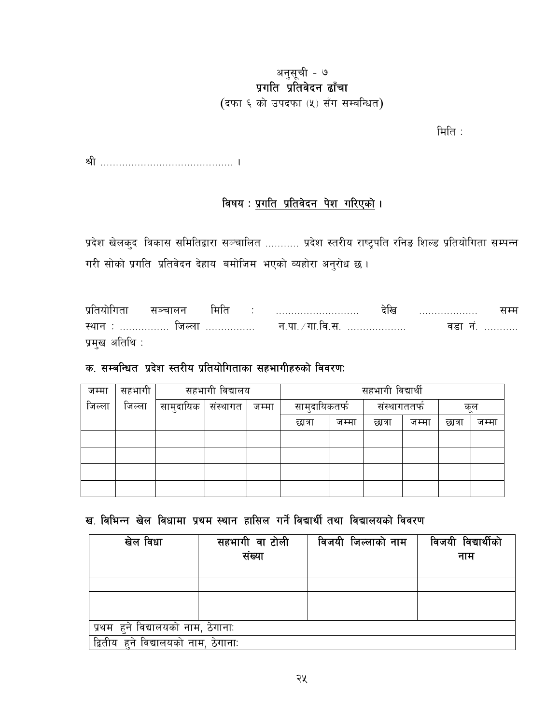## अनुसूची - ७ प्रगति प्रतिवेदन ढाँचा

(दफा ६ को उपदफा (५) सँग सम्बन्धित)

मिति :

### विषय : <u>प्रगति प्रतिवेदन पेश गरिएको</u> ।

प्रदेश खेलकुद विकास समितिद्वारा सञ्चालित ........... प्रदेश स्तरीय राष्ट्रपति रनिङ शिल्ड प्रतियोगिता सम्पन्न गरी सोको प्रगति प्रतिवेदन देहाय बमोजिम भएको व्यहोरा अनुरोध छ।

सञ्चालन मिति देखि .................. प्रतियोगिता  $\mathcal{L} = \frac{1}{2} \sum_{i=1}^{n} \frac{1}{2} \sum_{i=1}^{n} \frac{1}{2} \sum_{i=1}^{n} \frac{1}{2} \sum_{i=1}^{n} \frac{1}{2} \sum_{i=1}^{n} \frac{1}{2} \sum_{i=1}^{n} \frac{1}{2} \sum_{i=1}^{n} \frac{1}{2} \sum_{i=1}^{n} \frac{1}{2} \sum_{i=1}^{n} \frac{1}{2} \sum_{i=1}^{n} \frac{1}{2} \sum_{i=1}^{n} \frac{1}{2} \sum_{i=1}^{n} \frac{1}{2} \sum$ सम्म .<br>स्थान : …………… जिल्ला ……………. न.पा. ⁄ गा.वि.स. ………………. वडा नं. ………. प्रमुख अतिथि :

### क, सम्बन्धित प्रदेश स्तरीय प्रतियोगिताका सहभागीहरुको विवरण:

| जम्मा  | सहभागी |           | सहभागी विद्यालय |       |               | सहभागी विद्यार्थी |              |       |        |       |
|--------|--------|-----------|-----------------|-------|---------------|-------------------|--------------|-------|--------|-------|
| जिल्ला | जिल्ला | सामुदायिक | संस्थागत        | जम्मा | सामुदायिकतर्फ |                   | संस्थागततर्फ |       | कूल    |       |
|        |        |           |                 |       | छात्रा        | जम्मा             | छात्रा       | जम्मा | छात्रा | जम्मा |
|        |        |           |                 |       |               |                   |              |       |        |       |
|        |        |           |                 |       |               |                   |              |       |        |       |
|        |        |           |                 |       |               |                   |              |       |        |       |
|        |        |           |                 |       |               |                   |              |       |        |       |

ख. विभिन्न खेल विधामा प्रथम स्थान हासिल गर्ने विद्यार्थी तथा विद्यालयको विवरण

| खेल विधा                             | सहभागी वा टोली<br>संख्या | विजयी जिल्लाको नाम | विजयी विद्यार्थीको<br>नाम |  |  |  |
|--------------------------------------|--------------------------|--------------------|---------------------------|--|--|--|
|                                      |                          |                    |                           |  |  |  |
|                                      |                          |                    |                           |  |  |  |
|                                      |                          |                    |                           |  |  |  |
| प्रथम हुने विद्यालयको नाम, ठेगाना:   |                          |                    |                           |  |  |  |
| द्वितीय हुने विद्यालयको नाम, ठेगाना: |                          |                    |                           |  |  |  |